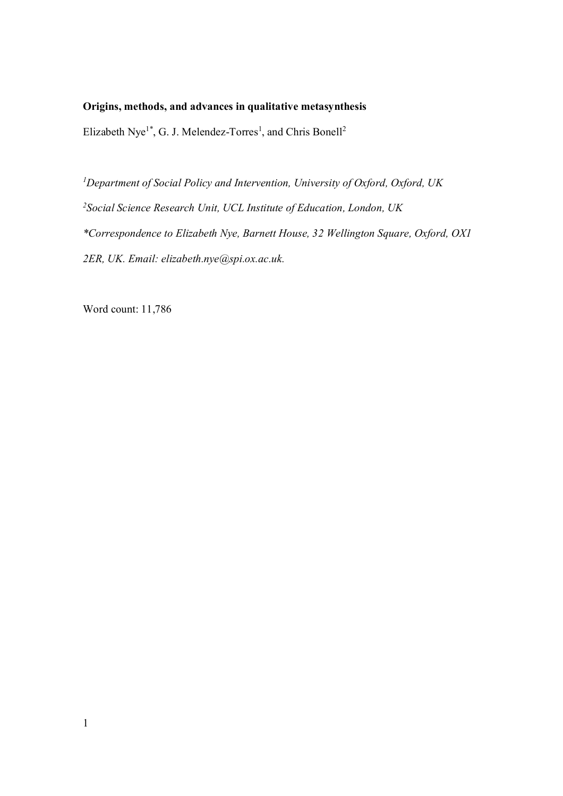# **Origins, methods, and advances in qualitative metasynthesis**

Elizabeth Nye<sup>1\*</sup>, G. J. Melendez-Torres<sup>1</sup>, and Chris Bonell<sup>2</sup>

*<sup>1</sup>Department of Social Policy and Intervention, University of Oxford, Oxford, UK <sup>2</sup>Social Science Research Unit, UCL Institute of Education, London, UK \*Correspondence to Elizabeth Nye, Barnett House, 32 Wellington Square, Oxford, OX1 2ER, UK. Email: elizabeth.nye@spi.ox.ac.uk.* 

Word count: 11,786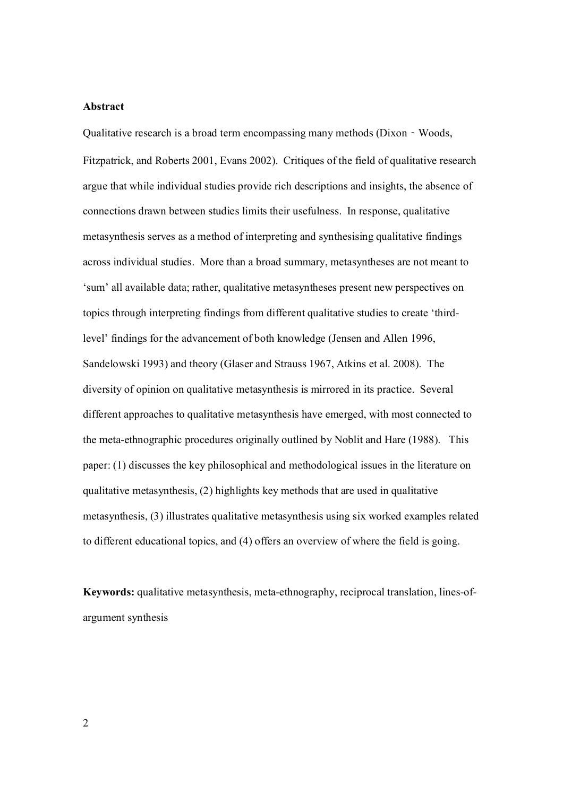## **Abstract**

Qualitative research is a broad term encompassing many methods (Dixon‐Woods, Fitzpatrick, and Roberts 2001, Evans 2002). Critiques of the field of qualitative research argue that while individual studies provide rich descriptions and insights, the absence of connections drawn between studies limits their usefulness. In response, qualitative metasynthesis serves as a method of interpreting and synthesising qualitative findings across individual studies. More than a broad summary, metasyntheses are not meant to 'sum' all available data; rather, qualitative metasyntheses present new perspectives on topics through interpreting findings from different qualitative studies to create 'thirdlevel' findings for the advancement of both knowledge (Jensen and Allen 1996, Sandelowski 1993) and theory (Glaser and Strauss 1967, Atkins et al. 2008). The diversity of opinion on qualitative metasynthesis is mirrored in its practice. Several different approaches to qualitative metasynthesis have emerged, with most connected to the meta-ethnographic procedures originally outlined by Noblit and Hare (1988). This paper: (1) discusses the key philosophical and methodological issues in the literature on qualitative metasynthesis, (2) highlights key methods that are used in qualitative metasynthesis, (3) illustrates qualitative metasynthesis using six worked examples related to different educational topics, and (4) offers an overview of where the field is going.

**Keywords:** qualitative metasynthesis, meta-ethnography, reciprocal translation, lines-ofargument synthesis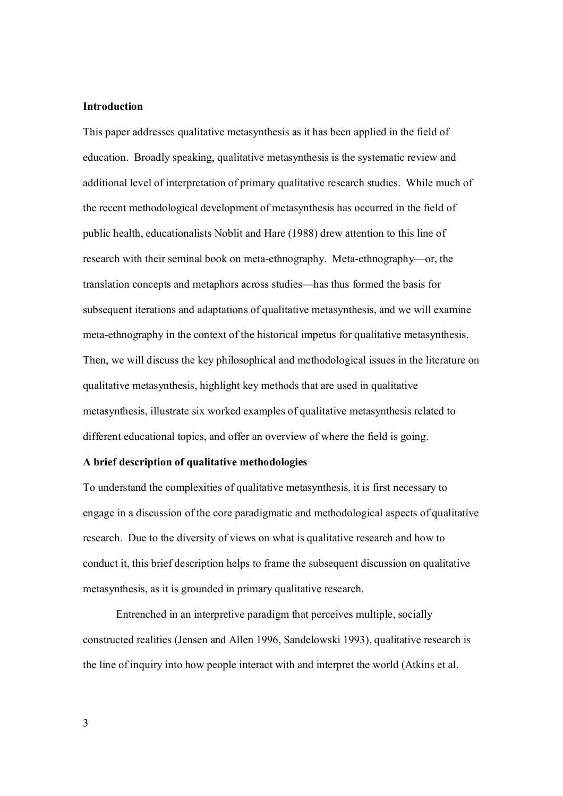#### **Introduction**

This paper addresses qualitative metasynthesis as it has been applied in the field of education. Broadly speaking, qualitative metasynthesis is the systematic review and additional level of interpretation of primary qualitative research studies. While much of the recent methodological development of metasynthesis has occurred in the field of public health, educationalists Noblit and Hare (1988) drew attention to this line of research with their seminal book on meta-ethnography. Meta-ethnography—or, the translation concepts and metaphors across studies—has thus formed the basis for subsequent iterations and adaptations of qualitative metasynthesis, and we will examine meta-ethnography in the context of the historical impetus for qualitative metasynthesis. Then, we will discuss the key philosophical and methodological issues in the literature on qualitative metasynthesis, highlight key methods that are used in qualitative metasynthesis, illustrate six worked examples of qualitative metasynthesis related to different educational topics, and offer an overview of where the field is going.

#### **A brief description of qualitative methodologies**

To understand the complexities of qualitative metasynthesis, it is first necessary to engage in a discussion of the core paradigmatic and methodological aspects of qualitative research. Due to the diversity of views on what is qualitative research and how to conduct it, this brief description helps to frame the subsequent discussion on qualitative metasynthesis, as it is grounded in primary qualitative research.

Entrenched in an interpretive paradigm that perceives multiple, socially constructed realities (Jensen and Allen 1996, Sandelowski 1993), qualitative research is the line of inquiry into how people interact with and interpret the world (Atkins et al.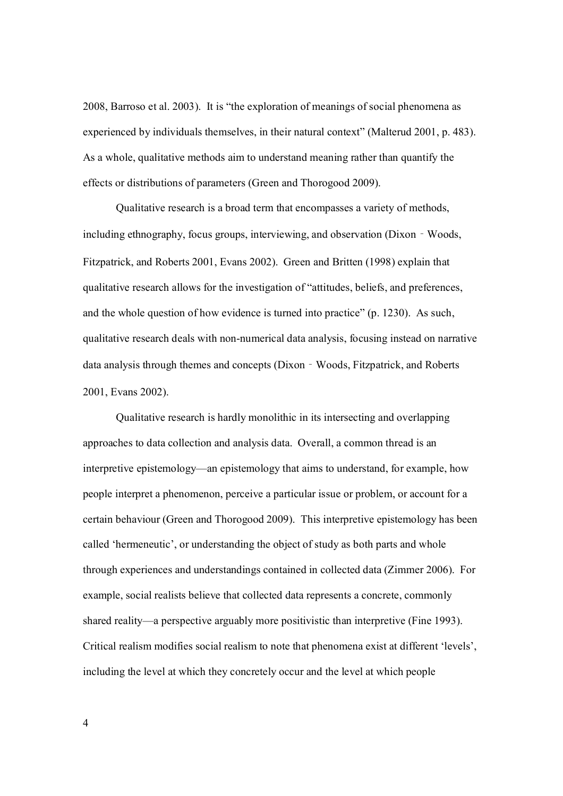2008, Barroso et al. 2003). It is "the exploration of meanings of social phenomena as experienced by individuals themselves, in their natural context" (Malterud 2001, p. 483). As a whole, qualitative methods aim to understand meaning rather than quantify the effects or distributions of parameters (Green and Thorogood 2009).

Qualitative research is a broad term that encompasses a variety of methods, including ethnography, focus groups, interviewing, and observation (Dixon‐Woods, Fitzpatrick, and Roberts 2001, Evans 2002). Green and Britten (1998) explain that qualitative research allows for the investigation of "attitudes, beliefs, and preferences, and the whole question of how evidence is turned into practice" (p. 1230). As such, qualitative research deals with non-numerical data analysis, focusing instead on narrative data analysis through themes and concepts (Dixon‐Woods, Fitzpatrick, and Roberts 2001, Evans 2002).

Qualitative research is hardly monolithic in its intersecting and overlapping approaches to data collection and analysis data. Overall, a common thread is an interpretive epistemology—an epistemology that aims to understand, for example, how people interpret a phenomenon, perceive a particular issue or problem, or account for a certain behaviour (Green and Thorogood 2009). This interpretive epistemology has been called 'hermeneutic', or understanding the object of study as both parts and whole through experiences and understandings contained in collected data (Zimmer 2006). For example, social realists believe that collected data represents a concrete, commonly shared reality—a perspective arguably more positivistic than interpretive (Fine 1993). Critical realism modifies social realism to note that phenomena exist at different 'levels', including the level at which they concretely occur and the level at which people

4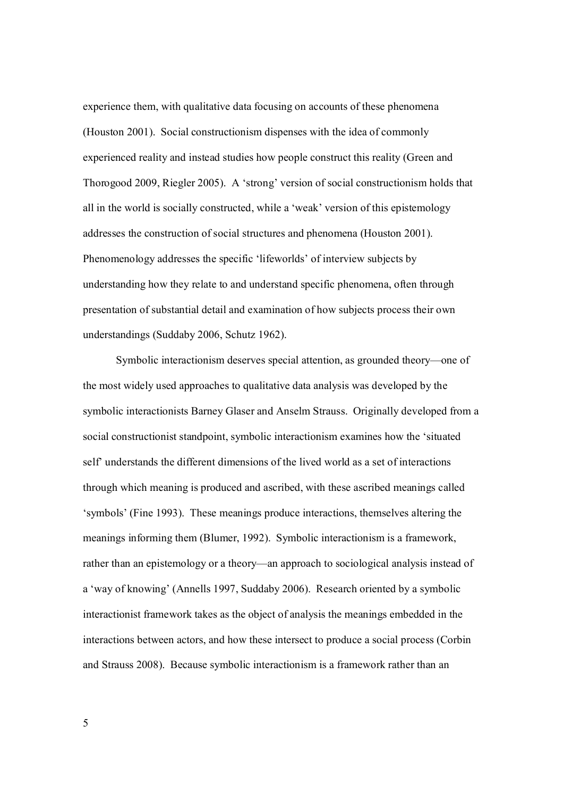experience them, with qualitative data focusing on accounts of these phenomena (Houston 2001). Social constructionism dispenses with the idea of commonly experienced reality and instead studies how people construct this reality (Green and Thorogood 2009, Riegler 2005). A 'strong' version of social constructionism holds that all in the world is socially constructed, while a 'weak' version of this epistemology addresses the construction of social structures and phenomena (Houston 2001). Phenomenology addresses the specific 'lifeworlds' of interview subjects by understanding how they relate to and understand specific phenomena, often through presentation of substantial detail and examination of how subjects process their own understandings (Suddaby 2006, Schutz 1962).

 Symbolic interactionism deserves special attention, as grounded theory—one of the most widely used approaches to qualitative data analysis was developed by the symbolic interactionists Barney Glaser and Anselm Strauss. Originally developed from a social constructionist standpoint, symbolic interactionism examines how the 'situated self' understands the different dimensions of the lived world as a set of interactions through which meaning is produced and ascribed, with these ascribed meanings called 'symbols' (Fine 1993). These meanings produce interactions, themselves altering the meanings informing them (Blumer, 1992). Symbolic interactionism is a framework, rather than an epistemology or a theory—an approach to sociological analysis instead of a 'way of knowing' (Annells 1997, Suddaby 2006). Research oriented by a symbolic interactionist framework takes as the object of analysis the meanings embedded in the interactions between actors, and how these intersect to produce a social process (Corbin and Strauss 2008). Because symbolic interactionism is a framework rather than an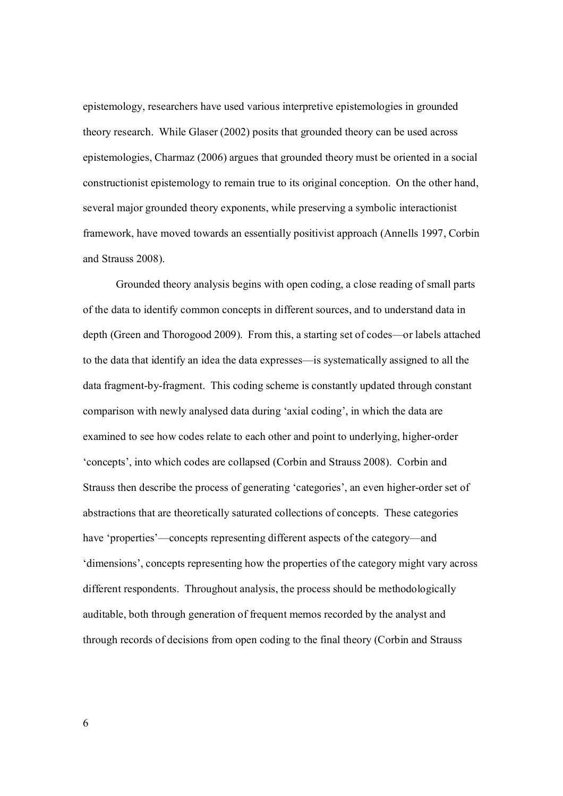epistemology, researchers have used various interpretive epistemologies in grounded theory research. While Glaser (2002) posits that grounded theory can be used across epistemologies, Charmaz (2006) argues that grounded theory must be oriented in a social constructionist epistemology to remain true to its original conception. On the other hand, several major grounded theory exponents, while preserving a symbolic interactionist framework, have moved towards an essentially positivist approach (Annells 1997, Corbin and Strauss 2008).

 Grounded theory analysis begins with open coding, a close reading of small parts of the data to identify common concepts in different sources, and to understand data in depth (Green and Thorogood 2009). From this, a starting set of codes—or labels attached to the data that identify an idea the data expresses—is systematically assigned to all the data fragment-by-fragment. This coding scheme is constantly updated through constant comparison with newly analysed data during 'axial coding', in which the data are examined to see how codes relate to each other and point to underlying, higher-order 'concepts', into which codes are collapsed (Corbin and Strauss 2008). Corbin and Strauss then describe the process of generating 'categories', an even higher-order set of abstractions that are theoretically saturated collections of concepts. These categories have 'properties'—concepts representing different aspects of the category—and 'dimensions', concepts representing how the properties of the category might vary across different respondents. Throughout analysis, the process should be methodologically auditable, both through generation of frequent memos recorded by the analyst and through records of decisions from open coding to the final theory (Corbin and Strauss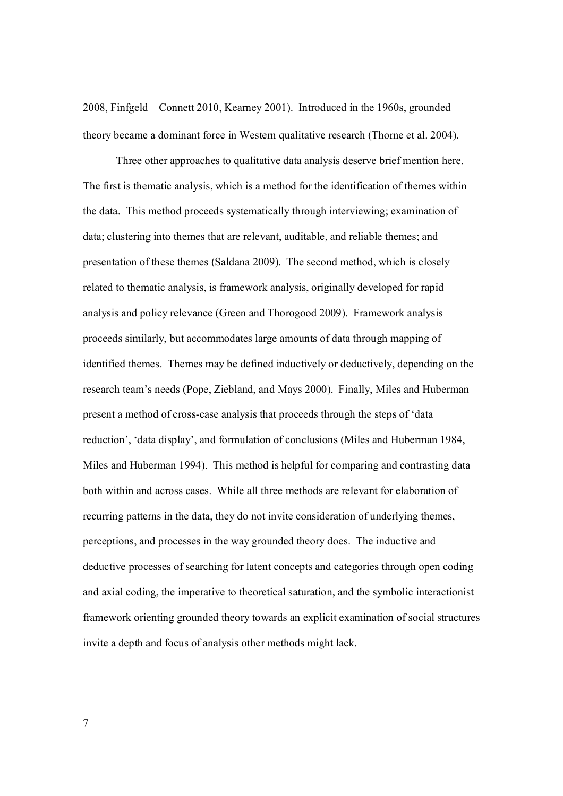2008, Finfgeld‐Connett 2010, Kearney 2001). Introduced in the 1960s, grounded theory became a dominant force in Western qualitative research (Thorne et al. 2004).

Three other approaches to qualitative data analysis deserve brief mention here. The first is thematic analysis, which is a method for the identification of themes within the data. This method proceeds systematically through interviewing; examination of data; clustering into themes that are relevant, auditable, and reliable themes; and presentation of these themes (Saldana 2009). The second method, which is closely related to thematic analysis, is framework analysis, originally developed for rapid analysis and policy relevance (Green and Thorogood 2009). Framework analysis proceeds similarly, but accommodates large amounts of data through mapping of identified themes. Themes may be defined inductively or deductively, depending on the research team's needs (Pope, Ziebland, and Mays 2000). Finally, Miles and Huberman present a method of cross-case analysis that proceeds through the steps of 'data reduction', 'data display', and formulation of conclusions (Miles and Huberman 1984, Miles and Huberman 1994). This method is helpful for comparing and contrasting data both within and across cases. While all three methods are relevant for elaboration of recurring patterns in the data, they do not invite consideration of underlying themes, perceptions, and processes in the way grounded theory does. The inductive and deductive processes of searching for latent concepts and categories through open coding and axial coding, the imperative to theoretical saturation, and the symbolic interactionist framework orienting grounded theory towards an explicit examination of social structures invite a depth and focus of analysis other methods might lack.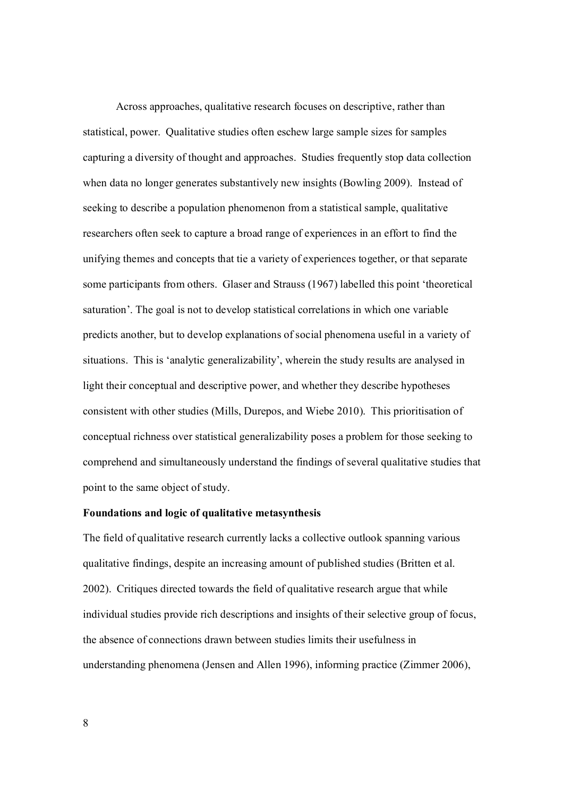Across approaches, qualitative research focuses on descriptive, rather than statistical, power. Qualitative studies often eschew large sample sizes for samples capturing a diversity of thought and approaches. Studies frequently stop data collection when data no longer generates substantively new insights (Bowling 2009). Instead of seeking to describe a population phenomenon from a statistical sample, qualitative researchers often seek to capture a broad range of experiences in an effort to find the unifying themes and concepts that tie a variety of experiences together, or that separate some participants from others. Glaser and Strauss (1967) labelled this point 'theoretical saturation'. The goal is not to develop statistical correlations in which one variable predicts another, but to develop explanations of social phenomena useful in a variety of situations. This is 'analytic generalizability', wherein the study results are analysed in light their conceptual and descriptive power, and whether they describe hypotheses consistent with other studies (Mills, Durepos, and Wiebe 2010). This prioritisation of conceptual richness over statistical generalizability poses a problem for those seeking to comprehend and simultaneously understand the findings of several qualitative studies that point to the same object of study.

# **Foundations and logic of qualitative metasynthesis**

The field of qualitative research currently lacks a collective outlook spanning various qualitative findings, despite an increasing amount of published studies (Britten et al. 2002). Critiques directed towards the field of qualitative research argue that while individual studies provide rich descriptions and insights of their selective group of focus, the absence of connections drawn between studies limits their usefulness in understanding phenomena (Jensen and Allen 1996), informing practice (Zimmer 2006),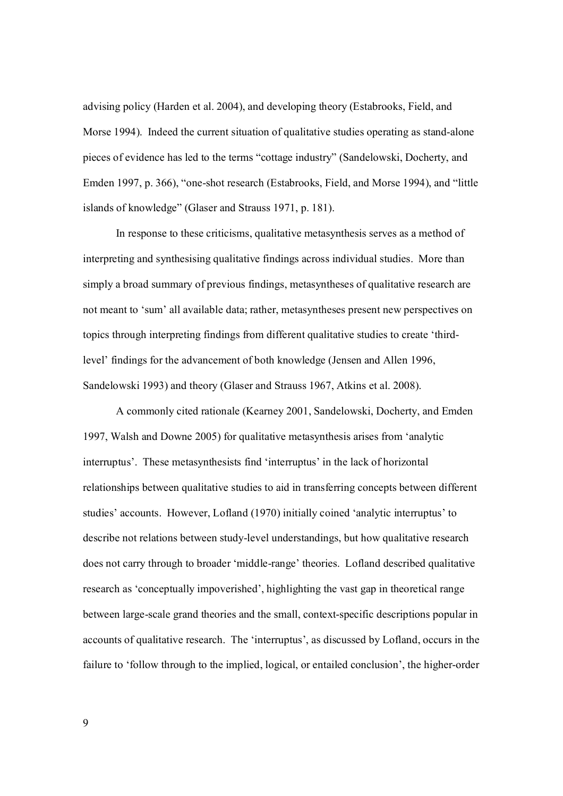advising policy (Harden et al. 2004), and developing theory (Estabrooks, Field, and Morse 1994). Indeed the current situation of qualitative studies operating as stand-alone pieces of evidence has led to the terms "cottage industry" (Sandelowski, Docherty, and Emden 1997, p. 366), "one-shot research (Estabrooks, Field, and Morse 1994), and "little islands of knowledge" (Glaser and Strauss 1971, p. 181).

In response to these criticisms, qualitative metasynthesis serves as a method of interpreting and synthesising qualitative findings across individual studies. More than simply a broad summary of previous findings, metasyntheses of qualitative research are not meant to 'sum' all available data; rather, metasyntheses present new perspectives on topics through interpreting findings from different qualitative studies to create 'thirdlevel' findings for the advancement of both knowledge (Jensen and Allen 1996, Sandelowski 1993) and theory (Glaser and Strauss 1967, Atkins et al. 2008).

A commonly cited rationale (Kearney 2001, Sandelowski, Docherty, and Emden 1997, Walsh and Downe 2005) for qualitative metasynthesis arises from 'analytic interruptus'. These metasynthesists find 'interruptus' in the lack of horizontal relationships between qualitative studies to aid in transferring concepts between different studies' accounts. However, Lofland (1970) initially coined 'analytic interruptus' to describe not relations between study-level understandings, but how qualitative research does not carry through to broader 'middle-range' theories. Lofland described qualitative research as 'conceptually impoverished', highlighting the vast gap in theoretical range between large-scale grand theories and the small, context-specific descriptions popular in accounts of qualitative research. The 'interruptus', as discussed by Lofland, occurs in the failure to 'follow through to the implied, logical, or entailed conclusion', the higher-order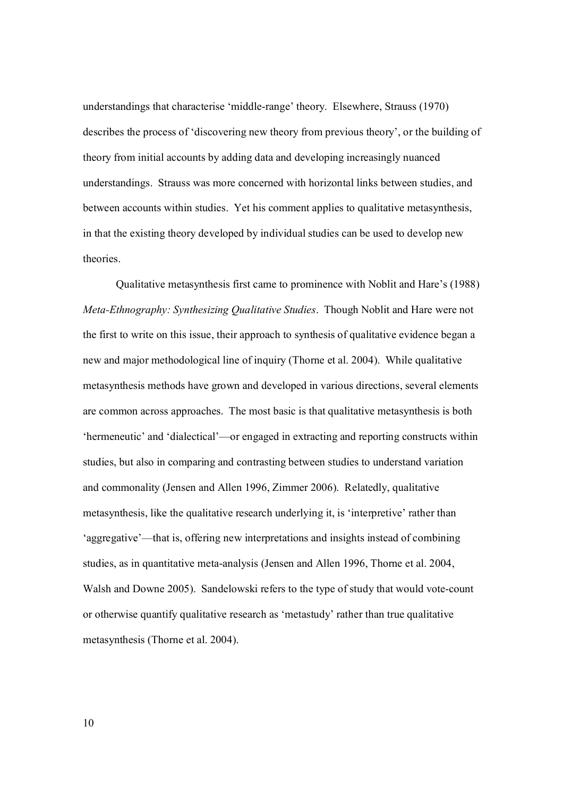understandings that characterise 'middle-range' theory. Elsewhere, Strauss (1970) describes the process of 'discovering new theory from previous theory', or the building of theory from initial accounts by adding data and developing increasingly nuanced understandings. Strauss was more concerned with horizontal links between studies, and between accounts within studies. Yet his comment applies to qualitative metasynthesis, in that the existing theory developed by individual studies can be used to develop new theories.

Qualitative metasynthesis first came to prominence with Noblit and Hare's (1988) *Meta-Ethnography: Synthesizing Qualitative Studies*. Though Noblit and Hare were not the first to write on this issue, their approach to synthesis of qualitative evidence began a new and major methodological line of inquiry (Thorne et al. 2004). While qualitative metasynthesis methods have grown and developed in various directions, several elements are common across approaches. The most basic is that qualitative metasynthesis is both 'hermeneutic' and 'dialectical'—or engaged in extracting and reporting constructs within studies, but also in comparing and contrasting between studies to understand variation and commonality (Jensen and Allen 1996, Zimmer 2006). Relatedly, qualitative metasynthesis, like the qualitative research underlying it, is 'interpretive' rather than 'aggregative'—that is, offering new interpretations and insights instead of combining studies, as in quantitative meta-analysis (Jensen and Allen 1996, Thorne et al. 2004, Walsh and Downe 2005). Sandelowski refers to the type of study that would vote-count or otherwise quantify qualitative research as 'metastudy' rather than true qualitative metasynthesis (Thorne et al. 2004).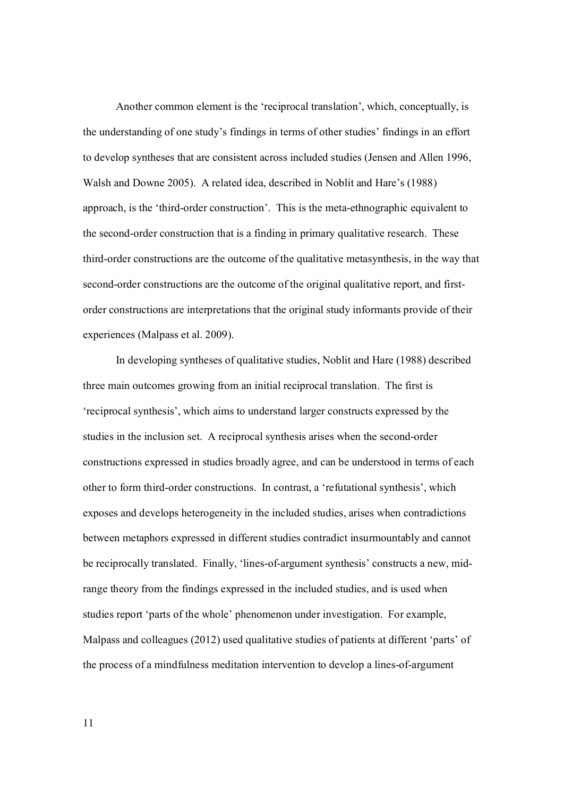Another common element is the 'reciprocal translation', which, conceptually, is the understanding of one study's findings in terms of other studies' findings in an effort to develop syntheses that are consistent across included studies (Jensen and Allen 1996, Walsh and Downe 2005). A related idea, described in Noblit and Hare's (1988) approach, is the 'third-order construction'. This is the meta-ethnographic equivalent to the second-order construction that is a finding in primary qualitative research. These third-order constructions are the outcome of the qualitative metasynthesis, in the way that second-order constructions are the outcome of the original qualitative report, and firstorder constructions are interpretations that the original study informants provide of their experiences (Malpass et al. 2009).

In developing syntheses of qualitative studies, Noblit and Hare (1988) described three main outcomes growing from an initial reciprocal translation. The first is 'reciprocal synthesis', which aims to understand larger constructs expressed by the studies in the inclusion set. A reciprocal synthesis arises when the second-order constructions expressed in studies broadly agree, and can be understood in terms of each other to form third-order constructions. In contrast, a 'refutational synthesis', which exposes and develops heterogeneity in the included studies, arises when contradictions between metaphors expressed in different studies contradict insurmountably and cannot be reciprocally translated. Finally, 'lines-of-argument synthesis' constructs a new, midrange theory from the findings expressed in the included studies, and is used when studies report 'parts of the whole' phenomenon under investigation. For example, Malpass and colleagues (2012) used qualitative studies of patients at different 'parts' of the process of a mindfulness meditation intervention to develop a lines-of-argument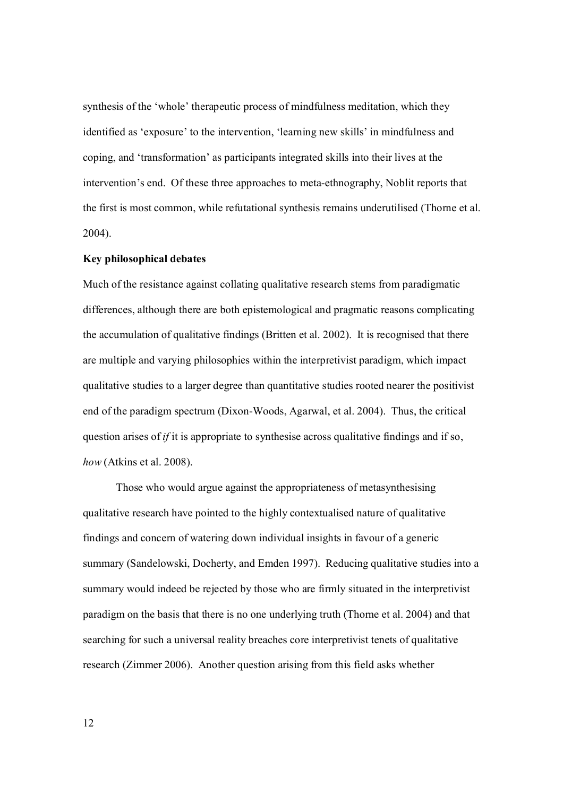synthesis of the 'whole' therapeutic process of mindfulness meditation, which they identified as 'exposure' to the intervention, 'learning new skills' in mindfulness and coping, and 'transformation' as participants integrated skills into their lives at the intervention's end. Of these three approaches to meta-ethnography, Noblit reports that the first is most common, while refutational synthesis remains underutilised (Thorne et al. 2004).

# **Key philosophical debates**

Much of the resistance against collating qualitative research stems from paradigmatic differences, although there are both epistemological and pragmatic reasons complicating the accumulation of qualitative findings (Britten et al. 2002). It is recognised that there are multiple and varying philosophies within the interpretivist paradigm, which impact qualitative studies to a larger degree than quantitative studies rooted nearer the positivist end of the paradigm spectrum (Dixon-Woods, Agarwal, et al. 2004). Thus, the critical question arises of *if* it is appropriate to synthesise across qualitative findings and if so, *how* (Atkins et al. 2008).

Those who would argue against the appropriateness of metasynthesising qualitative research have pointed to the highly contextualised nature of qualitative findings and concern of watering down individual insights in favour of a generic summary (Sandelowski, Docherty, and Emden 1997). Reducing qualitative studies into a summary would indeed be rejected by those who are firmly situated in the interpretivist paradigm on the basis that there is no one underlying truth (Thorne et al. 2004) and that searching for such a universal reality breaches core interpretivist tenets of qualitative research (Zimmer 2006). Another question arising from this field asks whether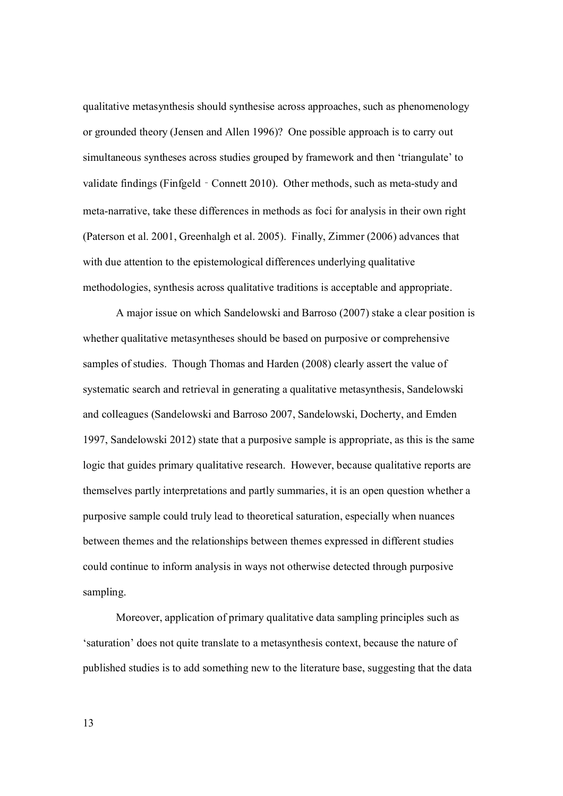qualitative metasynthesis should synthesise across approaches, such as phenomenology or grounded theory (Jensen and Allen 1996)? One possible approach is to carry out simultaneous syntheses across studies grouped by framework and then 'triangulate' to validate findings (Finfgeld - Connett 2010). Other methods, such as meta-study and meta-narrative, take these differences in methods as foci for analysis in their own right (Paterson et al. 2001, Greenhalgh et al. 2005). Finally, Zimmer (2006) advances that with due attention to the epistemological differences underlying qualitative methodologies, synthesis across qualitative traditions is acceptable and appropriate.

A major issue on which Sandelowski and Barroso (2007) stake a clear position is whether qualitative metasyntheses should be based on purposive or comprehensive samples of studies. Though Thomas and Harden (2008) clearly assert the value of systematic search and retrieval in generating a qualitative metasynthesis, Sandelowski and colleagues (Sandelowski and Barroso 2007, Sandelowski, Docherty, and Emden 1997, Sandelowski 2012) state that a purposive sample is appropriate, as this is the same logic that guides primary qualitative research. However, because qualitative reports are themselves partly interpretations and partly summaries, it is an open question whether a purposive sample could truly lead to theoretical saturation, especially when nuances between themes and the relationships between themes expressed in different studies could continue to inform analysis in ways not otherwise detected through purposive sampling.

Moreover, application of primary qualitative data sampling principles such as 'saturation' does not quite translate to a metasynthesis context, because the nature of published studies is to add something new to the literature base, suggesting that the data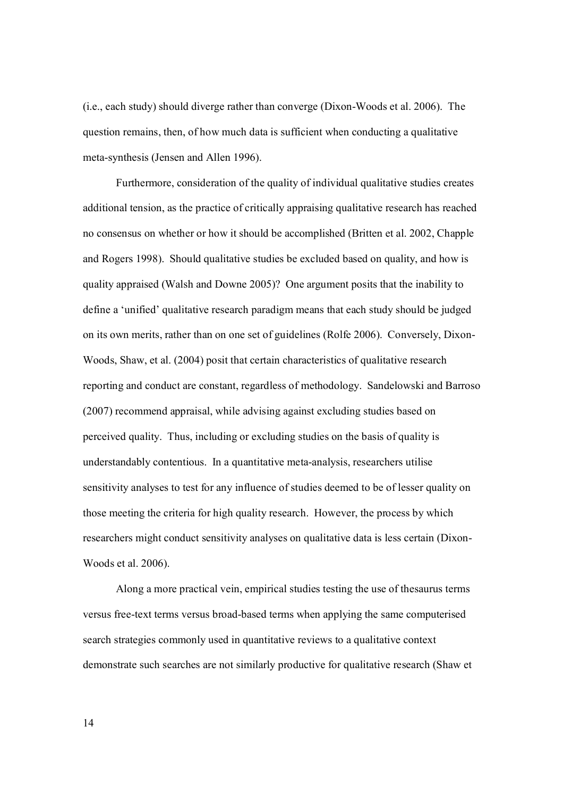(i.e., each study) should diverge rather than converge (Dixon-Woods et al. 2006).The question remains, then, of how much data is sufficient when conducting a qualitative meta-synthesis (Jensen and Allen 1996).

Furthermore, consideration of the quality of individual qualitative studies creates additional tension, as the practice of critically appraising qualitative research has reached no consensus on whether or how it should be accomplished (Britten et al. 2002, Chapple and Rogers 1998). Should qualitative studies be excluded based on quality, and how is quality appraised (Walsh and Downe 2005)? One argument posits that the inability to define a 'unified' qualitative research paradigm means that each study should be judged on its own merits, rather than on one set of guidelines (Rolfe 2006). Conversely, Dixon-Woods, Shaw, et al. (2004) posit that certain characteristics of qualitative research reporting and conduct are constant, regardless of methodology. Sandelowski and Barroso (2007) recommend appraisal, while advising against excluding studies based on perceived quality. Thus, including or excluding studies on the basis of quality is understandably contentious. In a quantitative meta-analysis, researchers utilise sensitivity analyses to test for any influence of studies deemed to be of lesser quality on those meeting the criteria for high quality research. However, the process by which researchers might conduct sensitivity analyses on qualitative data is less certain (Dixon-Woods et al. 2006).

Along a more practical vein, empirical studies testing the use of thesaurus terms versus free-text terms versus broad-based terms when applying the same computerised search strategies commonly used in quantitative reviews to a qualitative context demonstrate such searches are not similarly productive for qualitative research (Shaw et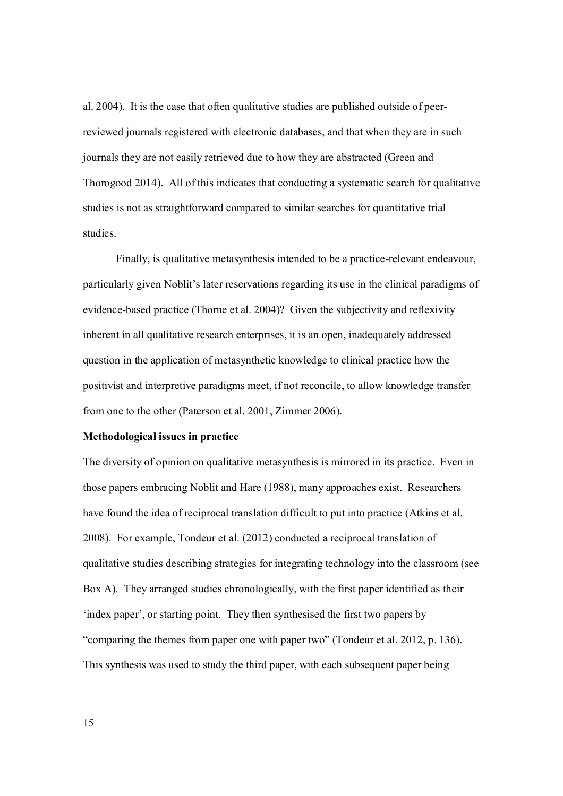al. 2004). It is the case that often qualitative studies are published outside of peerreviewed journals registered with electronic databases, and that when they are in such journals they are not easily retrieved due to how they are abstracted (Green and Thorogood 2014). All of this indicates that conducting a systematic search for qualitative studies is not as straightforward compared to similar searches for quantitative trial studies.

Finally, is qualitative metasynthesis intended to be a practice-relevant endeavour, particularly given Noblit's later reservations regarding its use in the clinical paradigms of evidence-based practice (Thorne et al. 2004)? Given the subjectivity and reflexivity inherent in all qualitative research enterprises, it is an open, inadequately addressed question in the application of metasynthetic knowledge to clinical practice how the positivist and interpretive paradigms meet, if not reconcile, to allow knowledge transfer from one to the other (Paterson et al. 2001, Zimmer 2006).

# **Methodological issues in practice**

The diversity of opinion on qualitative metasynthesis is mirrored in its practice. Even in those papers embracing Noblit and Hare (1988), many approaches exist. Researchers have found the idea of reciprocal translation difficult to put into practice (Atkins et al. 2008). For example, Tondeur et al. (2012) conducted a reciprocal translation of qualitative studies describing strategies for integrating technology into the classroom (see Box A). They arranged studies chronologically, with the first paper identified as their 'index paper', or starting point. They then synthesised the first two papers by "comparing the themes from paper one with paper two" (Tondeur et al. 2012, p. 136). This synthesis was used to study the third paper, with each subsequent paper being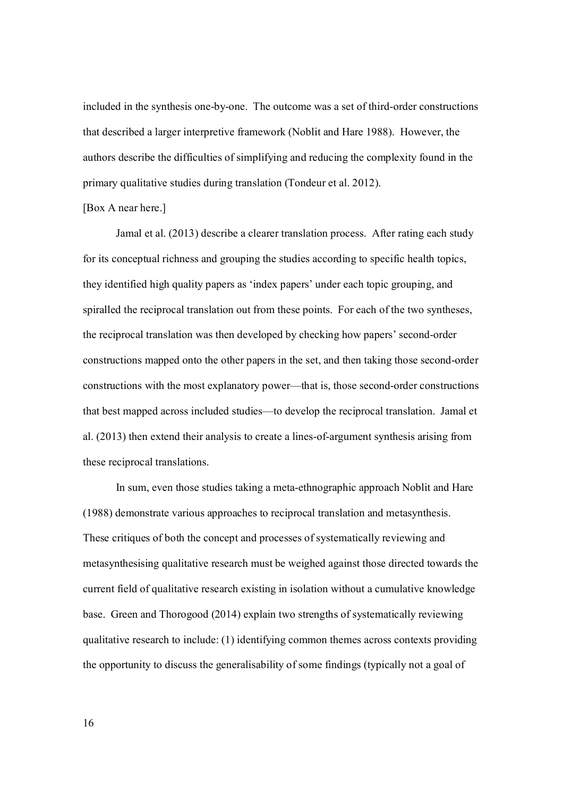included in the synthesis one-by-one. The outcome was a set of third-order constructions that described a larger interpretive framework (Noblit and Hare 1988). However, the authors describe the difficulties of simplifying and reducing the complexity found in the primary qualitative studies during translation (Tondeur et al. 2012).

### [Box A near here.]

Jamal et al. (2013) describe a clearer translation process. After rating each study for its conceptual richness and grouping the studies according to specific health topics, they identified high quality papers as 'index papers' under each topic grouping, and spiralled the reciprocal translation out from these points. For each of the two syntheses, the reciprocal translation was then developed by checking how papers' second-order constructions mapped onto the other papers in the set, and then taking those second-order constructions with the most explanatory power—that is, those second-order constructions that best mapped across included studies—to develop the reciprocal translation. Jamal et al. (2013) then extend their analysis to create a lines-of-argument synthesis arising from these reciprocal translations.

In sum, even those studies taking a meta-ethnographic approach Noblit and Hare (1988) demonstrate various approaches to reciprocal translation and metasynthesis. These critiques of both the concept and processes of systematically reviewing and metasynthesising qualitative research must be weighed against those directed towards the current field of qualitative research existing in isolation without a cumulative knowledge base. Green and Thorogood (2014) explain two strengths of systematically reviewing qualitative research to include: (1) identifying common themes across contexts providing the opportunity to discuss the generalisability of some findings (typically not a goal of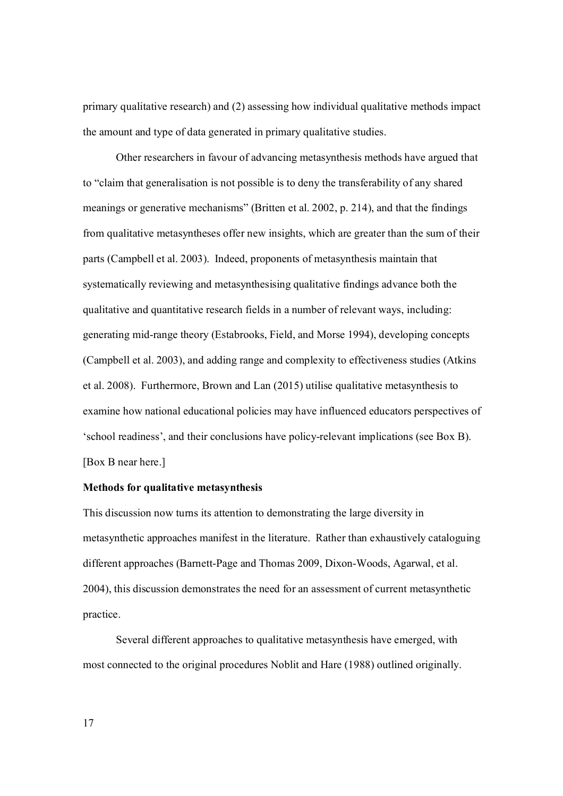primary qualitative research) and (2) assessing how individual qualitative methods impact the amount and type of data generated in primary qualitative studies.

Other researchers in favour of advancing metasynthesis methods have argued that to "claim that generalisation is not possible is to deny the transferability of any shared meanings or generative mechanisms" (Britten et al. 2002, p. 214), and that the findings from qualitative metasyntheses offer new insights, which are greater than the sum of their parts (Campbell et al. 2003). Indeed, proponents of metasynthesis maintain that systematically reviewing and metasynthesising qualitative findings advance both the qualitative and quantitative research fields in a number of relevant ways, including: generating mid-range theory (Estabrooks, Field, and Morse 1994), developing concepts (Campbell et al. 2003), and adding range and complexity to effectiveness studies (Atkins et al. 2008). Furthermore, Brown and Lan (2015) utilise qualitative metasynthesis to examine how national educational policies may have influenced educators perspectives of 'school readiness', and their conclusions have policy-relevant implications (see Box B). [Box B near here.]

# **Methods for qualitative metasynthesis**

This discussion now turns its attention to demonstrating the large diversity in metasynthetic approaches manifest in the literature. Rather than exhaustively cataloguing different approaches (Barnett-Page and Thomas 2009, Dixon-Woods, Agarwal, et al. 2004), this discussion demonstrates the need for an assessment of current metasynthetic practice.

Several different approaches to qualitative metasynthesis have emerged, with most connected to the original procedures Noblit and Hare (1988) outlined originally.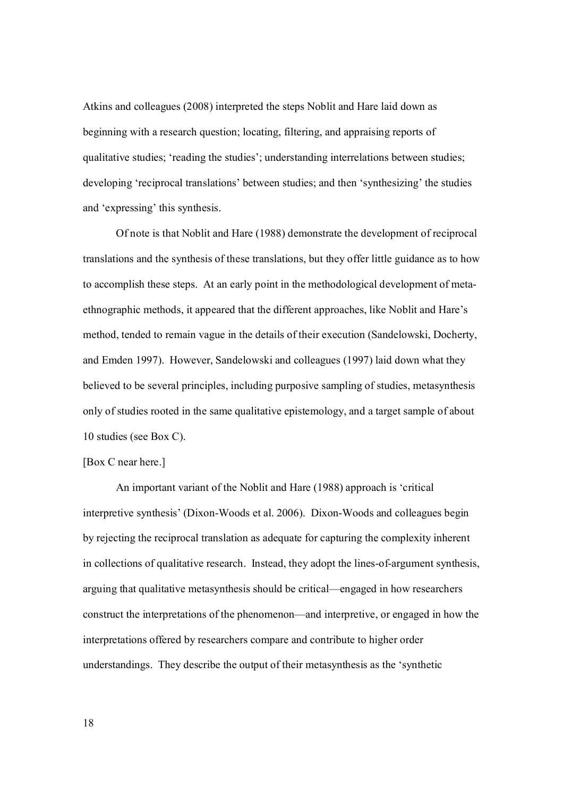Atkins and colleagues (2008) interpreted the steps Noblit and Hare laid down as beginning with a research question; locating, filtering, and appraising reports of qualitative studies; 'reading the studies'; understanding interrelations between studies; developing 'reciprocal translations' between studies; and then 'synthesizing' the studies and 'expressing' this synthesis.

 Of note is that Noblit and Hare (1988) demonstrate the development of reciprocal translations and the synthesis of these translations, but they offer little guidance as to how to accomplish these steps. At an early point in the methodological development of metaethnographic methods, it appeared that the different approaches, like Noblit and Hare's method, tended to remain vague in the details of their execution (Sandelowski, Docherty, and Emden 1997). However, Sandelowski and colleagues (1997) laid down what they believed to be several principles, including purposive sampling of studies, metasynthesis only of studies rooted in the same qualitative epistemology, and a target sample of about 10 studies (see Box C).

# [Box C near here.]

 An important variant of the Noblit and Hare (1988) approach is 'critical interpretive synthesis' (Dixon-Woods et al. 2006). Dixon-Woods and colleagues begin by rejecting the reciprocal translation as adequate for capturing the complexity inherent in collections of qualitative research. Instead, they adopt the lines-of-argument synthesis, arguing that qualitative metasynthesis should be critical—engaged in how researchers construct the interpretations of the phenomenon—and interpretive, or engaged in how the interpretations offered by researchers compare and contribute to higher order understandings. They describe the output of their metasynthesis as the 'synthetic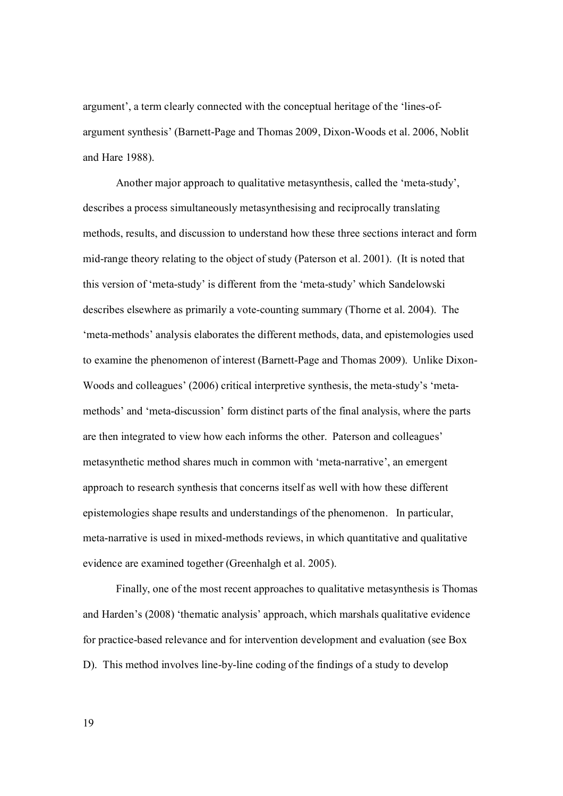argument', a term clearly connected with the conceptual heritage of the 'lines-ofargument synthesis' (Barnett-Page and Thomas 2009, Dixon-Woods et al. 2006, Noblit and Hare 1988).

Another major approach to qualitative metasynthesis, called the 'meta-study', describes a process simultaneously metasynthesising and reciprocally translating methods, results, and discussion to understand how these three sections interact and form mid-range theory relating to the object of study (Paterson et al. 2001). (It is noted that this version of 'meta-study' is different from the 'meta-study' which Sandelowski describes elsewhere as primarily a vote-counting summary (Thorne et al. 2004). The 'meta-methods' analysis elaborates the different methods, data, and epistemologies used to examine the phenomenon of interest (Barnett-Page and Thomas 2009). Unlike Dixon-Woods and colleagues' (2006) critical interpretive synthesis, the meta-study's 'metamethods' and 'meta-discussion' form distinct parts of the final analysis, where the parts are then integrated to view how each informs the other. Paterson and colleagues' metasynthetic method shares much in common with 'meta-narrative', an emergent approach to research synthesis that concerns itself as well with how these different epistemologies shape results and understandings of the phenomenon. In particular, meta-narrative is used in mixed-methods reviews, in which quantitative and qualitative evidence are examined together (Greenhalgh et al. 2005).

Finally, one of the most recent approaches to qualitative metasynthesis is Thomas and Harden's (2008) 'thematic analysis' approach, which marshals qualitative evidence for practice-based relevance and for intervention development and evaluation (see Box D). This method involves line-by-line coding of the findings of a study to develop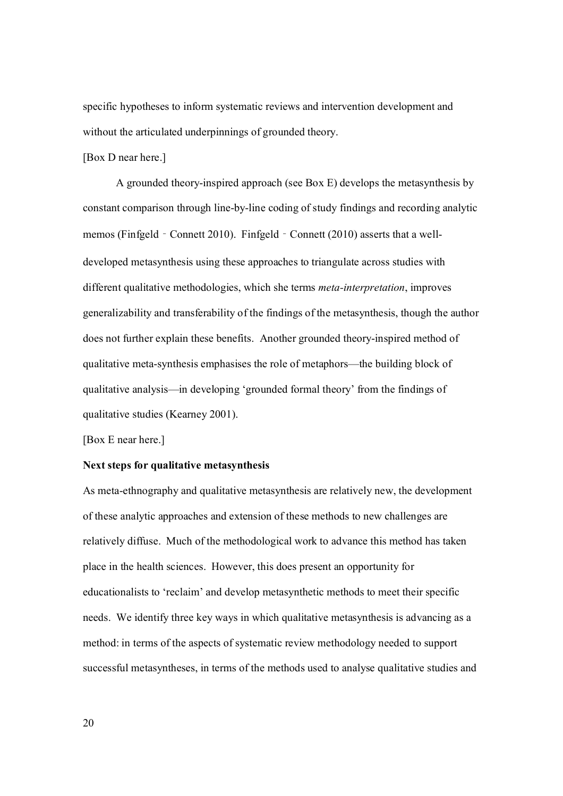specific hypotheses to inform systematic reviews and intervention development and without the articulated underpinnings of grounded theory.

#### [Box D near here.]

A grounded theory-inspired approach (see Box E) develops the metasynthesis by constant comparison through line-by-line coding of study findings and recording analytic memos (Finfgeld - Connett 2010). Finfgeld - Connett (2010) asserts that a welldeveloped metasynthesis using these approaches to triangulate across studies with different qualitative methodologies, which she terms *meta-interpretation*, improves generalizability and transferability of the findings of the metasynthesis, though the author does not further explain these benefits. Another grounded theory-inspired method of qualitative meta-synthesis emphasises the role of metaphors—the building block of qualitative analysis—in developing 'grounded formal theory' from the findings of qualitative studies (Kearney 2001).

[Box E near here.]

### **Next steps for qualitative metasynthesis**

As meta-ethnography and qualitative metasynthesis are relatively new, the development of these analytic approaches and extension of these methods to new challenges are relatively diffuse. Much of the methodological work to advance this method has taken place in the health sciences. However, this does present an opportunity for educationalists to 'reclaim' and develop metasynthetic methods to meet their specific needs. We identify three key ways in which qualitative metasynthesis is advancing as a method: in terms of the aspects of systematic review methodology needed to support successful metasyntheses, in terms of the methods used to analyse qualitative studies and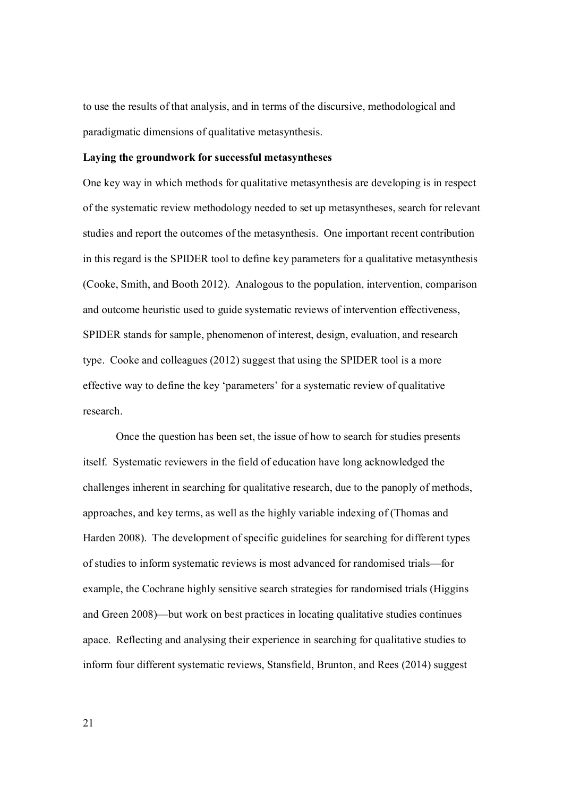to use the results of that analysis, and in terms of the discursive, methodological and paradigmatic dimensions of qualitative metasynthesis.

#### **Laying the groundwork for successful metasyntheses**

One key way in which methods for qualitative metasynthesis are developing is in respect of the systematic review methodology needed to set up metasyntheses, search for relevant studies and report the outcomes of the metasynthesis. One important recent contribution in this regard is the SPIDER tool to define key parameters for a qualitative metasynthesis (Cooke, Smith, and Booth 2012). Analogous to the population, intervention, comparison and outcome heuristic used to guide systematic reviews of intervention effectiveness, SPIDER stands for sample, phenomenon of interest, design, evaluation, and research type. Cooke and colleagues (2012) suggest that using the SPIDER tool is a more effective way to define the key 'parameters' for a systematic review of qualitative research.

 Once the question has been set, the issue of how to search for studies presents itself. Systematic reviewers in the field of education have long acknowledged the challenges inherent in searching for qualitative research, due to the panoply of methods, approaches, and key terms, as well as the highly variable indexing of (Thomas and Harden 2008). The development of specific guidelines for searching for different types of studies to inform systematic reviews is most advanced for randomised trials—for example, the Cochrane highly sensitive search strategies for randomised trials (Higgins and Green 2008)—but work on best practices in locating qualitative studies continues apace. Reflecting and analysing their experience in searching for qualitative studies to inform four different systematic reviews, Stansfield, Brunton, and Rees (2014) suggest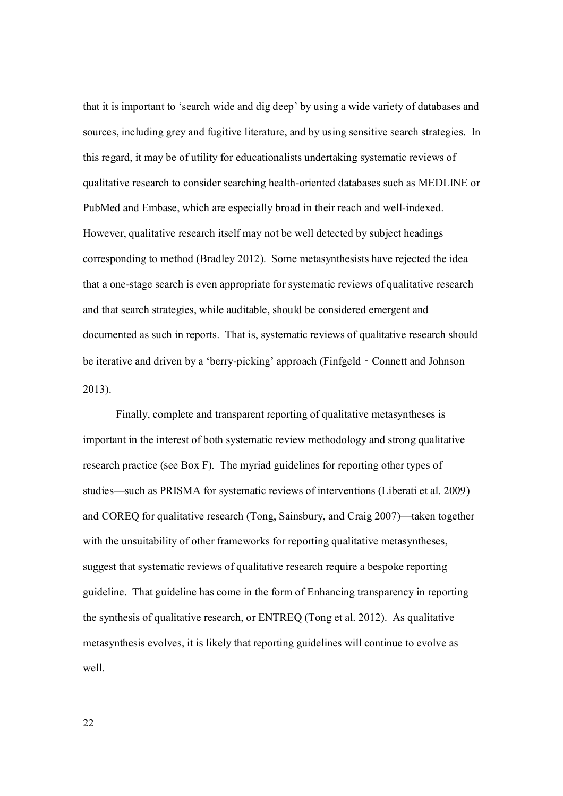that it is important to 'search wide and dig deep' by using a wide variety of databases and sources, including grey and fugitive literature, and by using sensitive search strategies. In this regard, it may be of utility for educationalists undertaking systematic reviews of qualitative research to consider searching health-oriented databases such as MEDLINE or PubMed and Embase, which are especially broad in their reach and well-indexed. However, qualitative research itself may not be well detected by subject headings corresponding to method (Bradley 2012). Some metasynthesists have rejected the idea that a one-stage search is even appropriate for systematic reviews of qualitative research and that search strategies, while auditable, should be considered emergent and documented as such in reports. That is, systematic reviews of qualitative research should be iterative and driven by a 'berry-picking' approach (Finfgeld - Connett and Johnson 2013).

 Finally, complete and transparent reporting of qualitative metasyntheses is important in the interest of both systematic review methodology and strong qualitative research practice (see Box F). The myriad guidelines for reporting other types of studies—such as PRISMA for systematic reviews of interventions (Liberati et al. 2009) and COREQ for qualitative research (Tong, Sainsbury, and Craig 2007)—taken together with the unsuitability of other frameworks for reporting qualitative metasyntheses, suggest that systematic reviews of qualitative research require a bespoke reporting guideline. That guideline has come in the form of Enhancing transparency in reporting the synthesis of qualitative research, or ENTREQ (Tong et al. 2012). As qualitative metasynthesis evolves, it is likely that reporting guidelines will continue to evolve as well.

22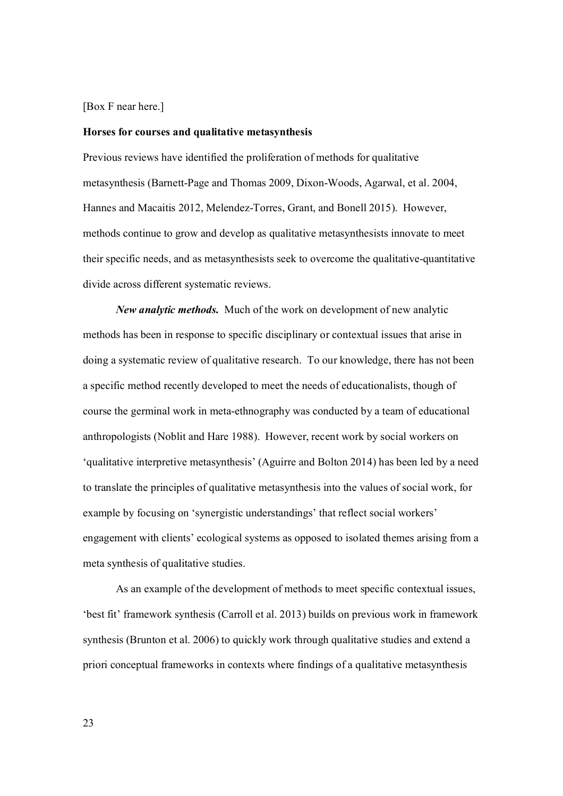#### [Box F near here.]

#### **Horses for courses and qualitative metasynthesis**

Previous reviews have identified the proliferation of methods for qualitative metasynthesis (Barnett-Page and Thomas 2009, Dixon-Woods, Agarwal, et al. 2004, Hannes and Macaitis 2012, Melendez-Torres, Grant, and Bonell 2015). However, methods continue to grow and develop as qualitative metasynthesists innovate to meet their specific needs, and as metasynthesists seek to overcome the qualitative-quantitative divide across different systematic reviews.

*New analytic methods.* Much of the work on development of new analytic methods has been in response to specific disciplinary or contextual issues that arise in doing a systematic review of qualitative research. To our knowledge, there has not been a specific method recently developed to meet the needs of educationalists, though of course the germinal work in meta-ethnography was conducted by a team of educational anthropologists (Noblit and Hare 1988). However, recent work by social workers on 'qualitative interpretive metasynthesis' (Aguirre and Bolton 2014) has been led by a need to translate the principles of qualitative metasynthesis into the values of social work, for example by focusing on 'synergistic understandings' that reflect social workers' engagement with clients' ecological systems as opposed to isolated themes arising from a meta synthesis of qualitative studies.

 As an example of the development of methods to meet specific contextual issues, 'best fit' framework synthesis (Carroll et al. 2013) builds on previous work in framework synthesis (Brunton et al. 2006) to quickly work through qualitative studies and extend a priori conceptual frameworks in contexts where findings of a qualitative metasynthesis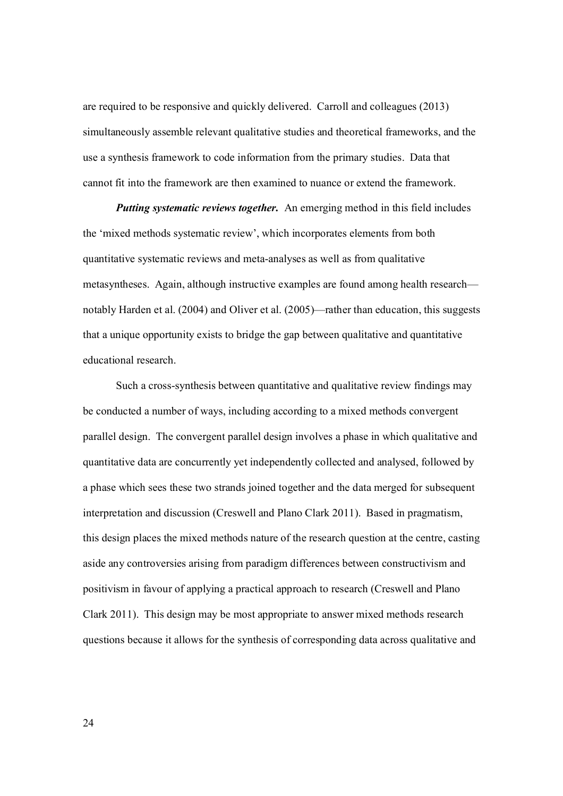are required to be responsive and quickly delivered. Carroll and colleagues (2013) simultaneously assemble relevant qualitative studies and theoretical frameworks, and the use a synthesis framework to code information from the primary studies. Data that cannot fit into the framework are then examined to nuance or extend the framework.

*Putting systematic reviews together.*An emerging method in this field includes the 'mixed methods systematic review', which incorporates elements from both quantitative systematic reviews and meta-analyses as well as from qualitative metasyntheses. Again, although instructive examples are found among health research notably Harden et al. (2004) and Oliver et al. (2005)—rather than education, this suggests that a unique opportunity exists to bridge the gap between qualitative and quantitative educational research.

Such a cross-synthesis between quantitative and qualitative review findings may be conducted a number of ways, including according to a mixed methods convergent parallel design. The convergent parallel design involves a phase in which qualitative and quantitative data are concurrently yet independently collected and analysed, followed by a phase which sees these two strands joined together and the data merged for subsequent interpretation and discussion (Creswell and Plano Clark 2011). Based in pragmatism, this design places the mixed methods nature of the research question at the centre, casting aside any controversies arising from paradigm differences between constructivism and positivism in favour of applying a practical approach to research (Creswell and Plano Clark 2011). This design may be most appropriate to answer mixed methods research questions because it allows for the synthesis of corresponding data across qualitative and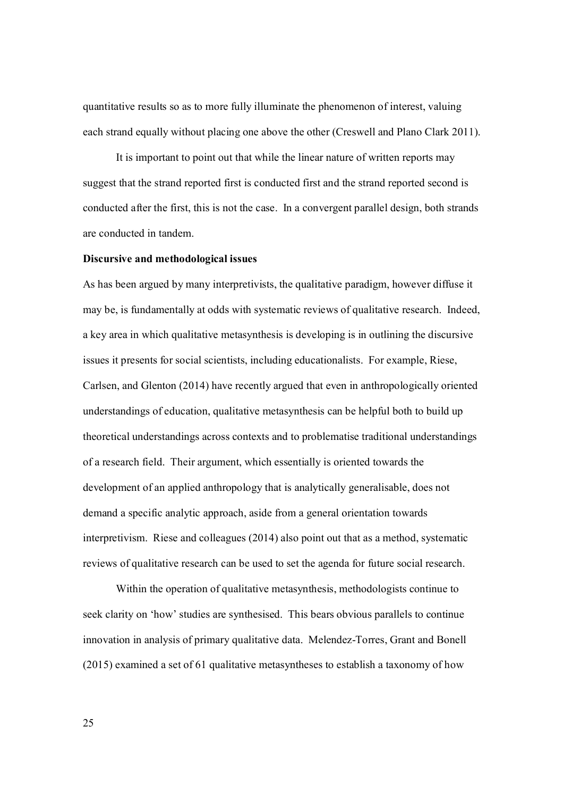quantitative results so as to more fully illuminate the phenomenon of interest, valuing each strand equally without placing one above the other (Creswell and Plano Clark 2011).

It is important to point out that while the linear nature of written reports may suggest that the strand reported first is conducted first and the strand reported second is conducted after the first, this is not the case. In a convergent parallel design, both strands are conducted in tandem.

#### **Discursive and methodological issues**

As has been argued by many interpretivists, the qualitative paradigm, however diffuse it may be, is fundamentally at odds with systematic reviews of qualitative research. Indeed, a key area in which qualitative metasynthesis is developing is in outlining the discursive issues it presents for social scientists, including educationalists. For example, Riese, Carlsen, and Glenton (2014) have recently argued that even in anthropologically oriented understandings of education, qualitative metasynthesis can be helpful both to build up theoretical understandings across contexts and to problematise traditional understandings of a research field. Their argument, which essentially is oriented towards the development of an applied anthropology that is analytically generalisable, does not demand a specific analytic approach, aside from a general orientation towards interpretivism. Riese and colleagues (2014) also point out that as a method, systematic reviews of qualitative research can be used to set the agenda for future social research.

 Within the operation of qualitative metasynthesis, methodologists continue to seek clarity on 'how' studies are synthesised. This bears obvious parallels to continue innovation in analysis of primary qualitative data. Melendez-Torres, Grant and Bonell (2015) examined a set of 61 qualitative metasyntheses to establish a taxonomy of how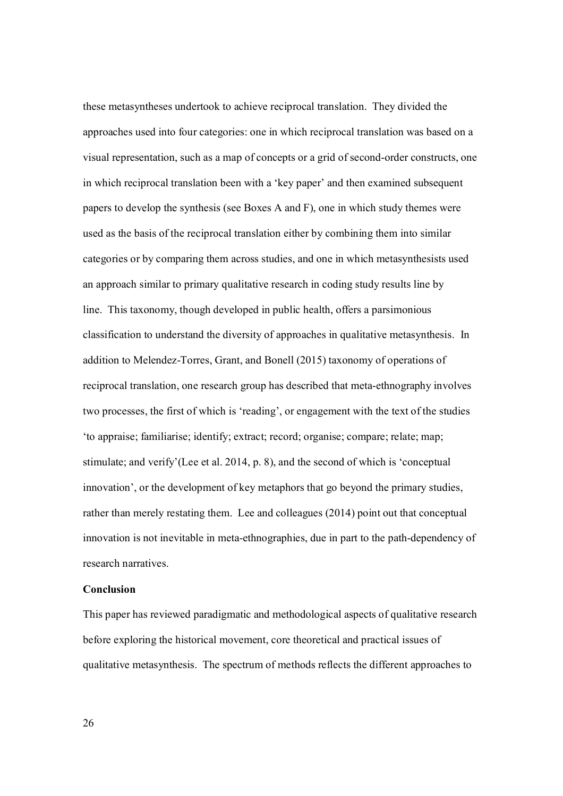these metasyntheses undertook to achieve reciprocal translation. They divided the approaches used into four categories: one in which reciprocal translation was based on a visual representation, such as a map of concepts or a grid of second-order constructs, one in which reciprocal translation been with a 'key paper' and then examined subsequent papers to develop the synthesis (see Boxes A and F), one in which study themes were used as the basis of the reciprocal translation either by combining them into similar categories or by comparing them across studies, and one in which metasynthesists used an approach similar to primary qualitative research in coding study results line by line. This taxonomy, though developed in public health, offers a parsimonious classification to understand the diversity of approaches in qualitative metasynthesis. In addition to Melendez-Torres, Grant, and Bonell (2015) taxonomy of operations of reciprocal translation, one research group has described that meta-ethnography involves two processes, the first of which is 'reading', or engagement with the text of the studies 'to appraise; familiarise; identify; extract; record; organise; compare; relate; map; stimulate; and verify'(Lee et al. 2014, p. 8), and the second of which is 'conceptual innovation', or the development of key metaphors that go beyond the primary studies, rather than merely restating them. Lee and colleagues (2014) point out that conceptual innovation is not inevitable in meta-ethnographies, due in part to the path-dependency of research narratives.

#### **Conclusion**

This paper has reviewed paradigmatic and methodological aspects of qualitative research before exploring the historical movement, core theoretical and practical issues of qualitative metasynthesis. The spectrum of methods reflects the different approaches to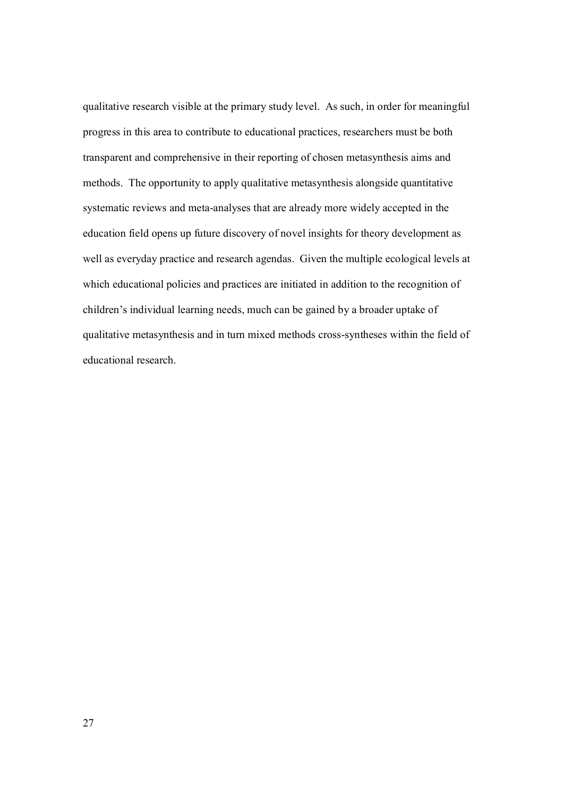qualitative research visible at the primary study level. As such, in order for meaningful progress in this area to contribute to educational practices, researchers must be both transparent and comprehensive in their reporting of chosen metasynthesis aims and methods. The opportunity to apply qualitative metasynthesis alongside quantitative systematic reviews and meta-analyses that are already more widely accepted in the education field opens up future discovery of novel insights for theory development as well as everyday practice and research agendas. Given the multiple ecological levels at which educational policies and practices are initiated in addition to the recognition of children's individual learning needs, much can be gained by a broader uptake of qualitative metasynthesis and in turn mixed methods cross-syntheses within the field of educational research.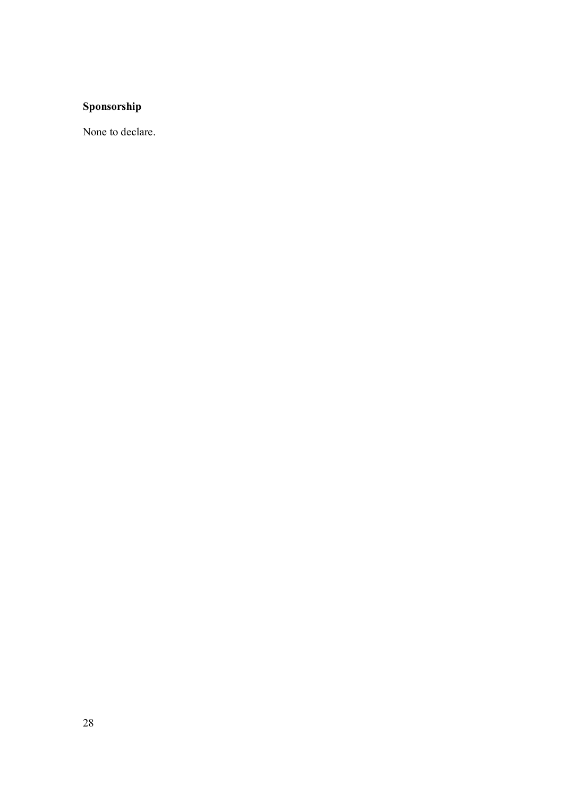# **Sponsorship**

None to declare.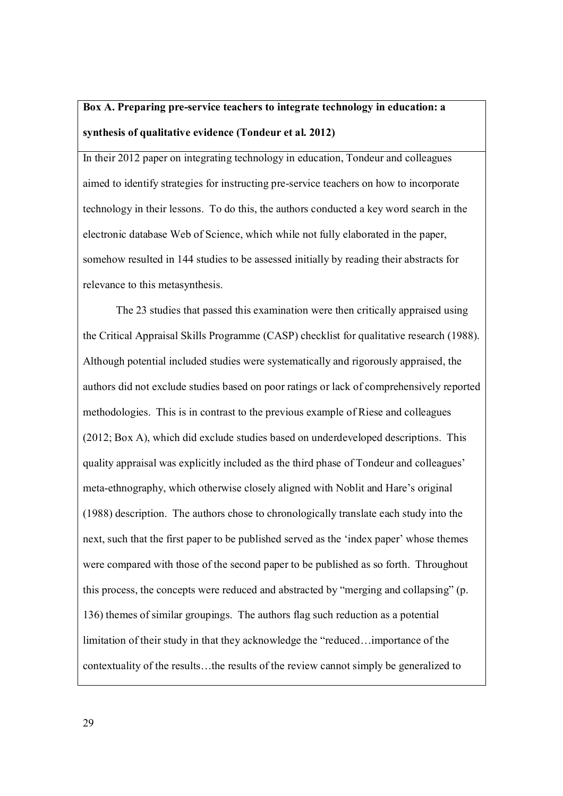# **Box A. Preparing pre-service teachers to integrate technology in education: a synthesis of qualitative evidence (Tondeur et al. 2012)**

In their 2012 paper on integrating technology in education, Tondeur and colleagues aimed to identify strategies for instructing pre-service teachers on how to incorporate technology in their lessons. To do this, the authors conducted a key word search in the electronic database Web of Science, which while not fully elaborated in the paper, somehow resulted in 144 studies to be assessed initially by reading their abstracts for relevance to this metasynthesis.

The 23 studies that passed this examination were then critically appraised using the Critical Appraisal Skills Programme (CASP) checklist for qualitative research (1988). Although potential included studies were systematically and rigorously appraised, the authors did not exclude studies based on poor ratings or lack of comprehensively reported methodologies. This is in contrast to the previous example of Riese and colleagues (2012; Box A), which did exclude studies based on underdeveloped descriptions. This quality appraisal was explicitly included as the third phase of Tondeur and colleagues' meta-ethnography, which otherwise closely aligned with Noblit and Hare's original (1988) description. The authors chose to chronologically translate each study into the next, such that the first paper to be published served as the 'index paper' whose themes were compared with those of the second paper to be published as so forth. Throughout this process, the concepts were reduced and abstracted by "merging and collapsing" (p. 136) themes of similar groupings. The authors flag such reduction as a potential limitation of their study in that they acknowledge the "reduced…importance of the contextuality of the results…the results of the review cannot simply be generalized to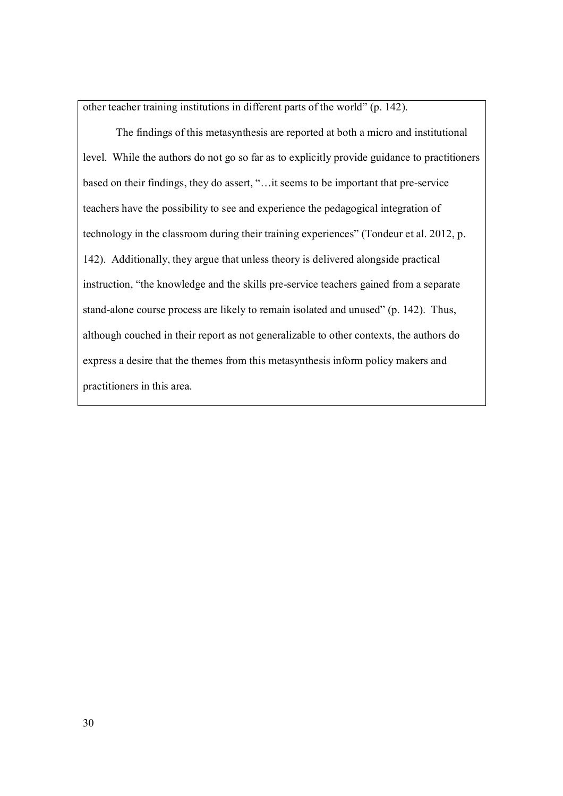other teacher training institutions in different parts of the world" (p. 142).

 The findings of this metasynthesis are reported at both a micro and institutional level. While the authors do not go so far as to explicitly provide guidance to practitioners based on their findings, they do assert, "…it seems to be important that pre-service teachers have the possibility to see and experience the pedagogical integration of technology in the classroom during their training experiences" (Tondeur et al. 2012, p. 142). Additionally, they argue that unless theory is delivered alongside practical instruction, "the knowledge and the skills pre-service teachers gained from a separate stand-alone course process are likely to remain isolated and unused" (p. 142). Thus, although couched in their report as not generalizable to other contexts, the authors do express a desire that the themes from this metasynthesis inform policy makers and practitioners in this area.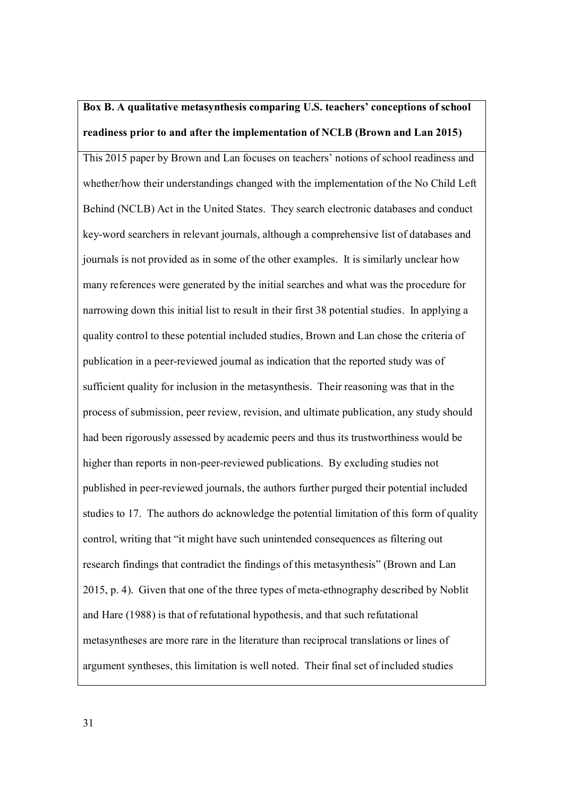# **Box B. A qualitative metasynthesis comparing U.S. teachers' conceptions of school readiness prior to and after the implementation of NCLB (Brown and Lan 2015)**

This 2015 paper by Brown and Lan focuses on teachers' notions of school readiness and whether/how their understandings changed with the implementation of the No Child Left Behind (NCLB) Act in the United States. They search electronic databases and conduct key-word searchers in relevant journals, although a comprehensive list of databases and journals is not provided as in some of the other examples. It is similarly unclear how many references were generated by the initial searches and what was the procedure for narrowing down this initial list to result in their first 38 potential studies. In applying a quality control to these potential included studies, Brown and Lan chose the criteria of publication in a peer-reviewed journal as indication that the reported study was of sufficient quality for inclusion in the metasynthesis. Their reasoning was that in the process of submission, peer review, revision, and ultimate publication, any study should had been rigorously assessed by academic peers and thus its trustworthiness would be higher than reports in non-peer-reviewed publications. By excluding studies not published in peer-reviewed journals, the authors further purged their potential included studies to 17. The authors do acknowledge the potential limitation of this form of quality control, writing that "it might have such unintended consequences as filtering out research findings that contradict the findings of this metasynthesis" (Brown and Lan 2015, p. 4). Given that one of the three types of meta-ethnography described by Noblit and Hare (1988) is that of refutational hypothesis, and that such refutational metasyntheses are more rare in the literature than reciprocal translations or lines of argument syntheses, this limitation is well noted. Their final set of included studies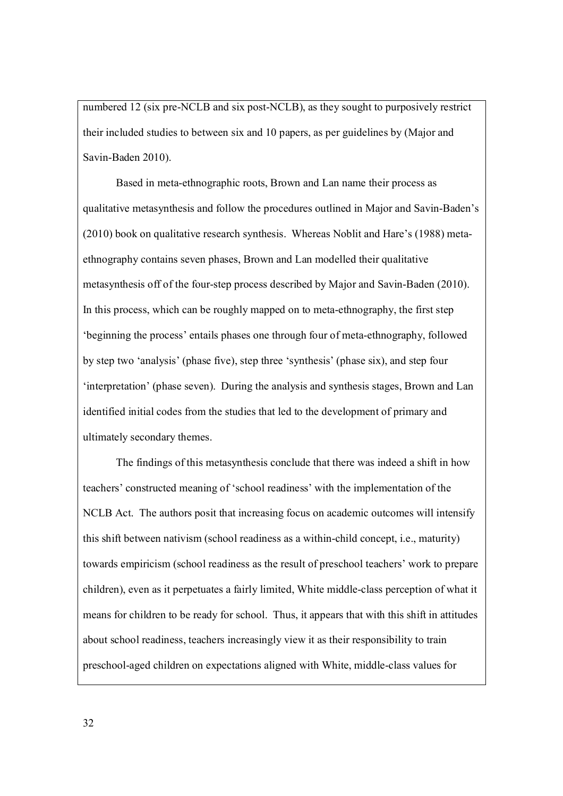numbered 12 (six pre-NCLB and six post-NCLB), as they sought to purposively restrict their included studies to between six and 10 papers, as per guidelines by (Major and Savin-Baden 2010).

 Based in meta-ethnographic roots, Brown and Lan name their process as qualitative metasynthesis and follow the procedures outlined in Major and Savin-Baden's (2010) book on qualitative research synthesis. Whereas Noblit and Hare's (1988) metaethnography contains seven phases, Brown and Lan modelled their qualitative metasynthesis off of the four-step process described by Major and Savin-Baden (2010). In this process, which can be roughly mapped on to meta-ethnography, the first step 'beginning the process' entails phases one through four of meta-ethnography, followed by step two 'analysis' (phase five), step three 'synthesis' (phase six), and step four 'interpretation' (phase seven). During the analysis and synthesis stages, Brown and Lan identified initial codes from the studies that led to the development of primary and ultimately secondary themes.

 The findings of this metasynthesis conclude that there was indeed a shift in how teachers' constructed meaning of 'school readiness' with the implementation of the NCLB Act. The authors posit that increasing focus on academic outcomes will intensify this shift between nativism (school readiness as a within-child concept, i.e., maturity) towards empiricism (school readiness as the result of preschool teachers' work to prepare children), even as it perpetuates a fairly limited, White middle-class perception of what it means for children to be ready for school. Thus, it appears that with this shift in attitudes about school readiness, teachers increasingly view it as their responsibility to train preschool-aged children on expectations aligned with White, middle-class values for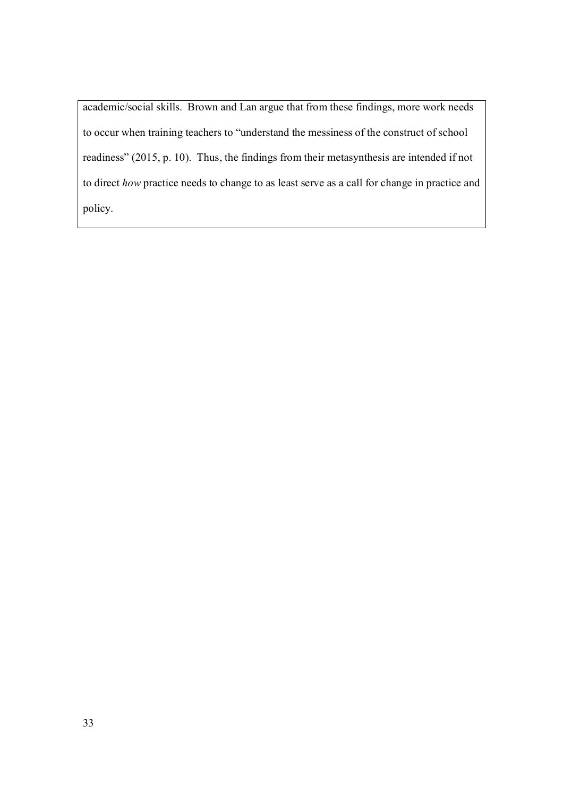academic/social skills. Brown and Lan argue that from these findings, more work needs to occur when training teachers to "understand the messiness of the construct of school readiness" (2015, p. 10). Thus, the findings from their metasynthesis are intended if not to direct *how* practice needs to change to as least serve as a call for change in practice and policy.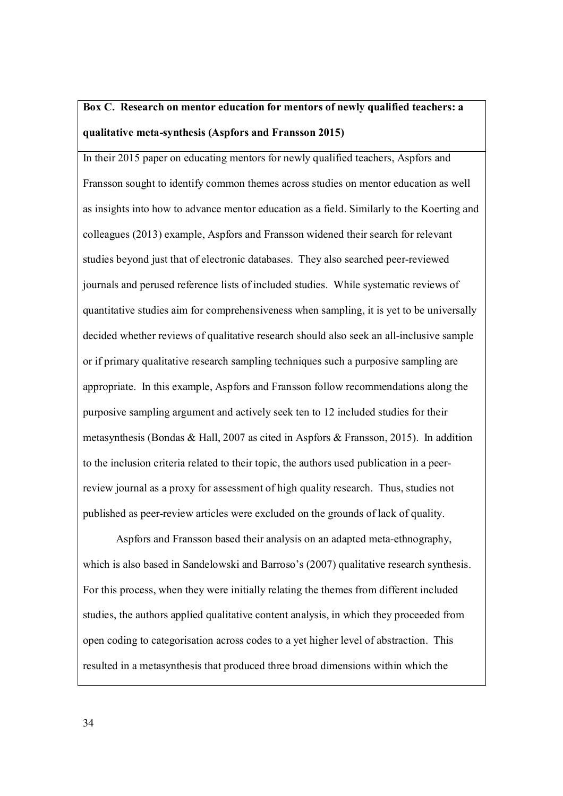# **Box C. Research on mentor education for mentors of newly qualified teachers: a qualitative meta-synthesis (Aspfors and Fransson 2015)**

In their 2015 paper on educating mentors for newly qualified teachers, Aspfors and Fransson sought to identify common themes across studies on mentor education as well as insights into how to advance mentor education as a field. Similarly to the Koerting and colleagues (2013) example, Aspfors and Fransson widened their search for relevant studies beyond just that of electronic databases. They also searched peer-reviewed journals and perused reference lists of included studies. While systematic reviews of quantitative studies aim for comprehensiveness when sampling, it is yet to be universally decided whether reviews of qualitative research should also seek an all-inclusive sample or if primary qualitative research sampling techniques such a purposive sampling are appropriate. In this example, Aspfors and Fransson follow recommendations along the purposive sampling argument and actively seek ten to 12 included studies for their metasynthesis (Bondas & Hall, 2007 as cited in Aspfors & Fransson, 2015). In addition to the inclusion criteria related to their topic, the authors used publication in a peerreview journal as a proxy for assessment of high quality research. Thus, studies not published as peer-review articles were excluded on the grounds of lack of quality.

 Aspfors and Fransson based their analysis on an adapted meta-ethnography, which is also based in Sandelowski and Barroso's (2007) qualitative research synthesis. For this process, when they were initially relating the themes from different included studies, the authors applied qualitative content analysis, in which they proceeded from open coding to categorisation across codes to a yet higher level of abstraction. This resulted in a metasynthesis that produced three broad dimensions within which the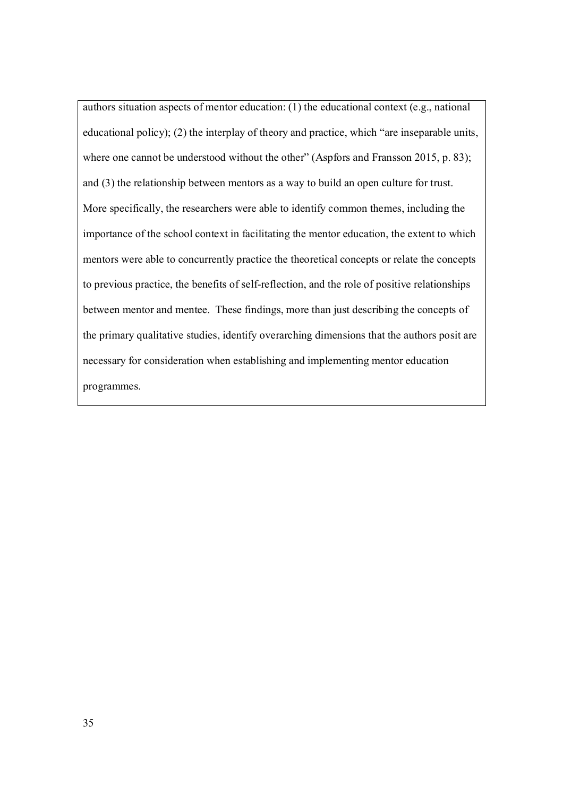authors situation aspects of mentor education: (1) the educational context (e.g., national educational policy); (2) the interplay of theory and practice, which "are inseparable units, where one cannot be understood without the other" (Aspfors and Fransson 2015, p. 83); and (3) the relationship between mentors as a way to build an open culture for trust. More specifically, the researchers were able to identify common themes, including the importance of the school context in facilitating the mentor education, the extent to which mentors were able to concurrently practice the theoretical concepts or relate the concepts to previous practice, the benefits of self-reflection, and the role of positive relationships between mentor and mentee. These findings, more than just describing the concepts of the primary qualitative studies, identify overarching dimensions that the authors posit are necessary for consideration when establishing and implementing mentor education programmes.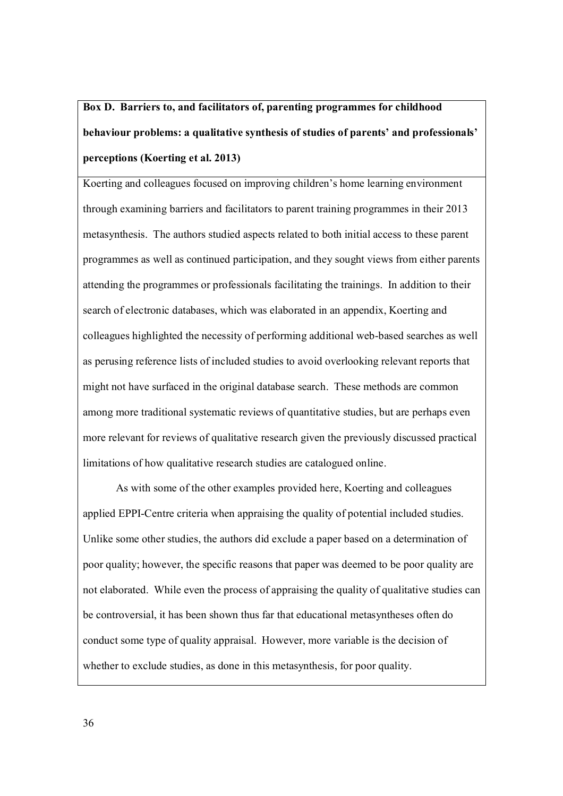# **Box D. Barriers to, and facilitators of, parenting programmes for childhood behaviour problems: a qualitative synthesis of studies of parents' and professionals' perceptions (Koerting et al. 2013)**

Koerting and colleagues focused on improving children's home learning environment through examining barriers and facilitators to parent training programmes in their 2013 metasynthesis. The authors studied aspects related to both initial access to these parent programmes as well as continued participation, and they sought views from either parents attending the programmes or professionals facilitating the trainings. In addition to their search of electronic databases, which was elaborated in an appendix, Koerting and colleagues highlighted the necessity of performing additional web-based searches as well as perusing reference lists of included studies to avoid overlooking relevant reports that might not have surfaced in the original database search. These methods are common among more traditional systematic reviews of quantitative studies, but are perhaps even more relevant for reviews of qualitative research given the previously discussed practical limitations of how qualitative research studies are catalogued online.

As with some of the other examples provided here, Koerting and colleagues applied EPPI-Centre criteria when appraising the quality of potential included studies. Unlike some other studies, the authors did exclude a paper based on a determination of poor quality; however, the specific reasons that paper was deemed to be poor quality are not elaborated. While even the process of appraising the quality of qualitative studies can be controversial, it has been shown thus far that educational metasyntheses often do conduct some type of quality appraisal. However, more variable is the decision of whether to exclude studies, as done in this metasynthesis, for poor quality.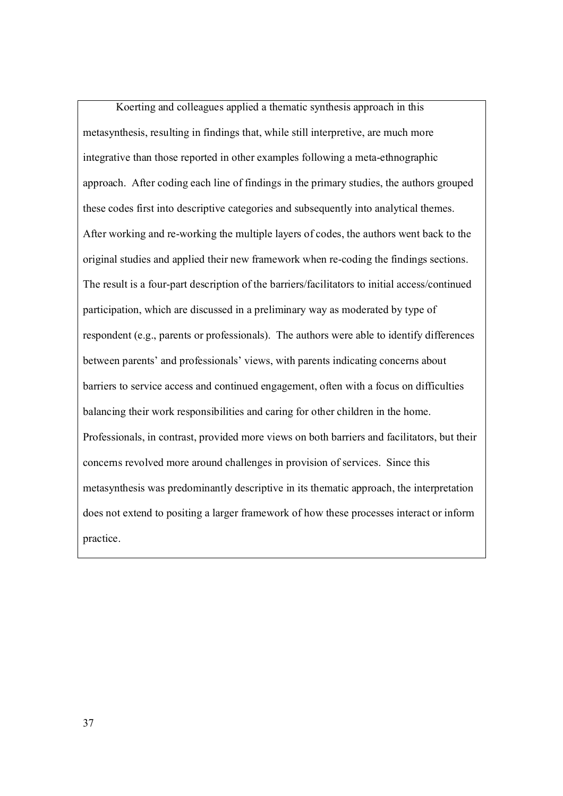Koerting and colleagues applied a thematic synthesis approach in this metasynthesis, resulting in findings that, while still interpretive, are much more integrative than those reported in other examples following a meta-ethnographic approach. After coding each line of findings in the primary studies, the authors grouped these codes first into descriptive categories and subsequently into analytical themes. After working and re-working the multiple layers of codes, the authors went back to the original studies and applied their new framework when re-coding the findings sections. The result is a four-part description of the barriers/facilitators to initial access/continued participation, which are discussed in a preliminary way as moderated by type of respondent (e.g., parents or professionals). The authors were able to identify differences between parents' and professionals' views, with parents indicating concerns about barriers to service access and continued engagement, often with a focus on difficulties balancing their work responsibilities and caring for other children in the home. Professionals, in contrast, provided more views on both barriers and facilitators, but their concerns revolved more around challenges in provision of services. Since this metasynthesis was predominantly descriptive in its thematic approach, the interpretation does not extend to positing a larger framework of how these processes interact or inform practice.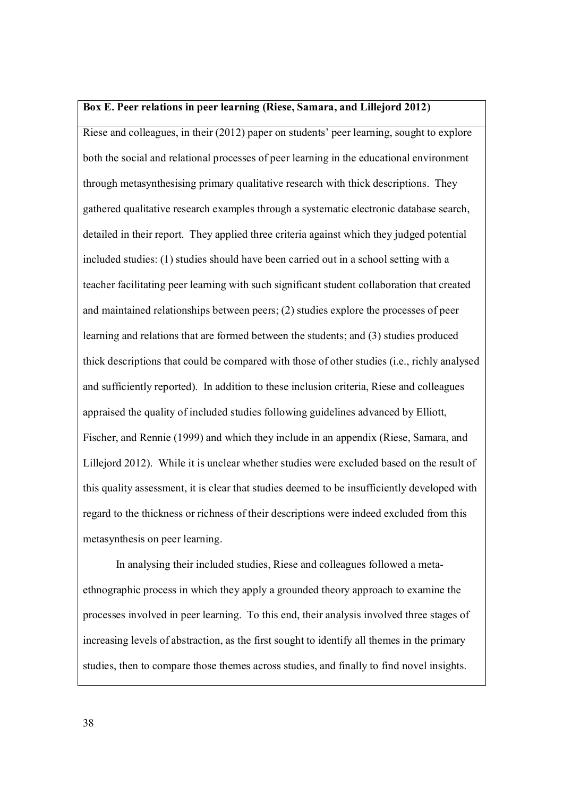#### **Box E. Peer relations in peer learning (Riese, Samara, and Lillejord 2012)**

Riese and colleagues, in their (2012) paper on students' peer learning, sought to explore both the social and relational processes of peer learning in the educational environment through metasynthesising primary qualitative research with thick descriptions. They gathered qualitative research examples through a systematic electronic database search, detailed in their report. They applied three criteria against which they judged potential included studies: (1) studies should have been carried out in a school setting with a teacher facilitating peer learning with such significant student collaboration that created and maintained relationships between peers; (2) studies explore the processes of peer learning and relations that are formed between the students; and (3) studies produced thick descriptions that could be compared with those of other studies (i.e., richly analysed and sufficiently reported). In addition to these inclusion criteria, Riese and colleagues appraised the quality of included studies following guidelines advanced by Elliott, Fischer, and Rennie (1999) and which they include in an appendix (Riese, Samara, and Lillejord 2012). While it is unclear whether studies were excluded based on the result of this quality assessment, it is clear that studies deemed to be insufficiently developed with regard to the thickness or richness of their descriptions were indeed excluded from this metasynthesis on peer learning.

 In analysing their included studies, Riese and colleagues followed a metaethnographic process in which they apply a grounded theory approach to examine the processes involved in peer learning. To this end, their analysis involved three stages of increasing levels of abstraction, as the first sought to identify all themes in the primary studies, then to compare those themes across studies, and finally to find novel insights.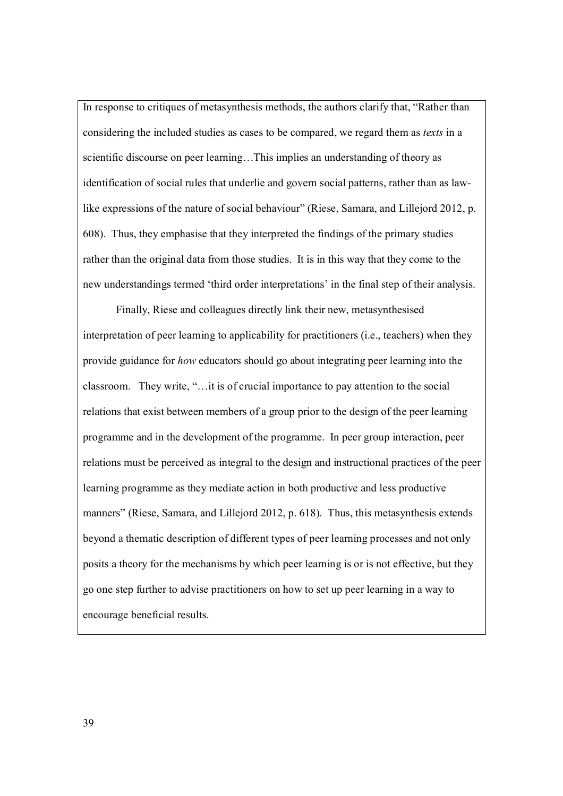In response to critiques of metasynthesis methods, the authors clarify that, "Rather than considering the included studies as cases to be compared, we regard them as *texts* in a scientific discourse on peer learning…This implies an understanding of theory as identification of social rules that underlie and govern social patterns, rather than as lawlike expressions of the nature of social behaviour" (Riese, Samara, and Lillejord 2012, p. 608). Thus, they emphasise that they interpreted the findings of the primary studies rather than the original data from those studies. It is in this way that they come to the new understandings termed 'third order interpretations' in the final step of their analysis.

 Finally, Riese and colleagues directly link their new, metasynthesised interpretation of peer learning to applicability for practitioners (i.e., teachers) when they provide guidance for *how* educators should go about integrating peer learning into the classroom. They write, "…it is of crucial importance to pay attention to the social relations that exist between members of a group prior to the design of the peer learning programme and in the development of the programme. In peer group interaction, peer relations must be perceived as integral to the design and instructional practices of the peer learning programme as they mediate action in both productive and less productive manners" (Riese, Samara, and Lillejord 2012, p. 618). Thus, this metasynthesis extends beyond a thematic description of different types of peer learning processes and not only posits a theory for the mechanisms by which peer learning is or is not effective, but they go one step further to advise practitioners on how to set up peer learning in a way to encourage beneficial results.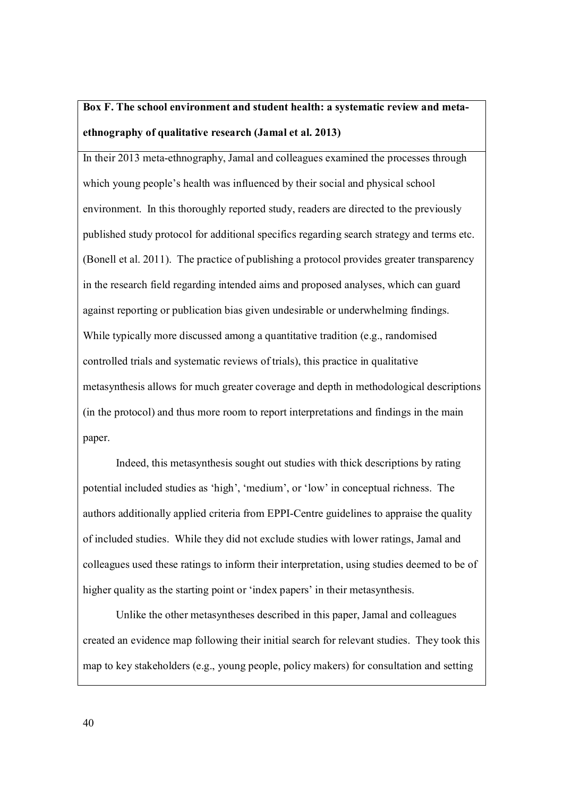# **Box F. The school environment and student health: a systematic review and metaethnography of qualitative research (Jamal et al. 2013)**

In their 2013 meta-ethnography, Jamal and colleagues examined the processes through which young people's health was influenced by their social and physical school environment. In this thoroughly reported study, readers are directed to the previously published study protocol for additional specifics regarding search strategy and terms etc. (Bonell et al. 2011). The practice of publishing a protocol provides greater transparency in the research field regarding intended aims and proposed analyses, which can guard against reporting or publication bias given undesirable or underwhelming findings. While typically more discussed among a quantitative tradition (e.g., randomised controlled trials and systematic reviews of trials), this practice in qualitative metasynthesis allows for much greater coverage and depth in methodological descriptions (in the protocol) and thus more room to report interpretations and findings in the main paper.

 Indeed, this metasynthesis sought out studies with thick descriptions by rating potential included studies as 'high', 'medium', or 'low' in conceptual richness. The authors additionally applied criteria from EPPI-Centre guidelines to appraise the quality of included studies. While they did not exclude studies with lower ratings, Jamal and colleagues used these ratings to inform their interpretation, using studies deemed to be of higher quality as the starting point or 'index papers' in their metasynthesis.

 Unlike the other metasyntheses described in this paper, Jamal and colleagues created an evidence map following their initial search for relevant studies. They took this map to key stakeholders (e.g., young people, policy makers) for consultation and setting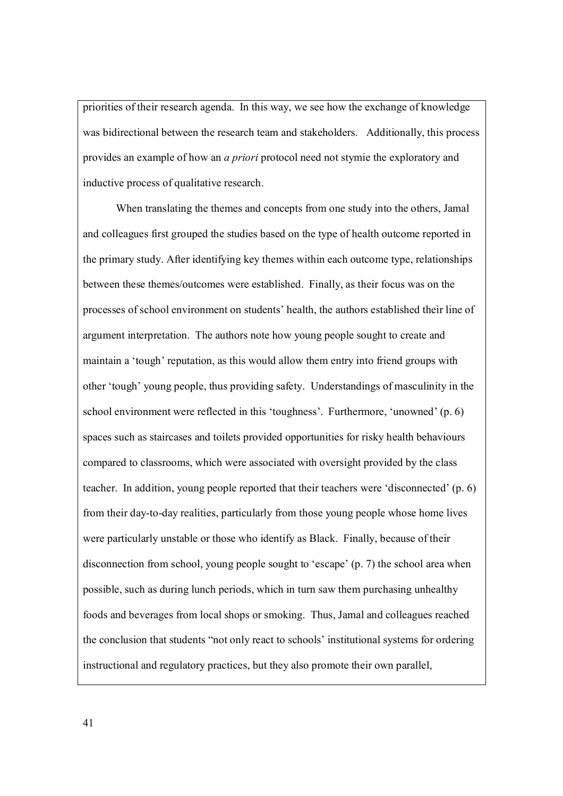priorities of their research agenda. In this way, we see how the exchange of knowledge was bidirectional between the research team and stakeholders. Additionally, this process provides an example of how an *a priori* protocol need not stymie the exploratory and inductive process of qualitative research.

 When translating the themes and concepts from one study into the others, Jamal and colleagues first grouped the studies based on the type of health outcome reported in the primary study. After identifying key themes within each outcome type, relationships between these themes/outcomes were established. Finally, as their focus was on the processes of school environment on students' health, the authors established their line of argument interpretation. The authors note how young people sought to create and maintain a 'tough' reputation, as this would allow them entry into friend groups with other 'tough' young people, thus providing safety. Understandings of masculinity in the school environment were reflected in this 'toughness'. Furthermore, 'unowned' (p. 6) spaces such as staircases and toilets provided opportunities for risky health behaviours compared to classrooms, which were associated with oversight provided by the class teacher. In addition, young people reported that their teachers were 'disconnected' (p. 6) from their day-to-day realities, particularly from those young people whose home lives were particularly unstable or those who identify as Black. Finally, because of their disconnection from school, young people sought to 'escape' (p. 7) the school area when possible, such as during lunch periods, which in turn saw them purchasing unhealthy foods and beverages from local shops or smoking. Thus, Jamal and colleagues reached the conclusion that students "not only react to schools' institutional systems for ordering instructional and regulatory practices, but they also promote their own parallel,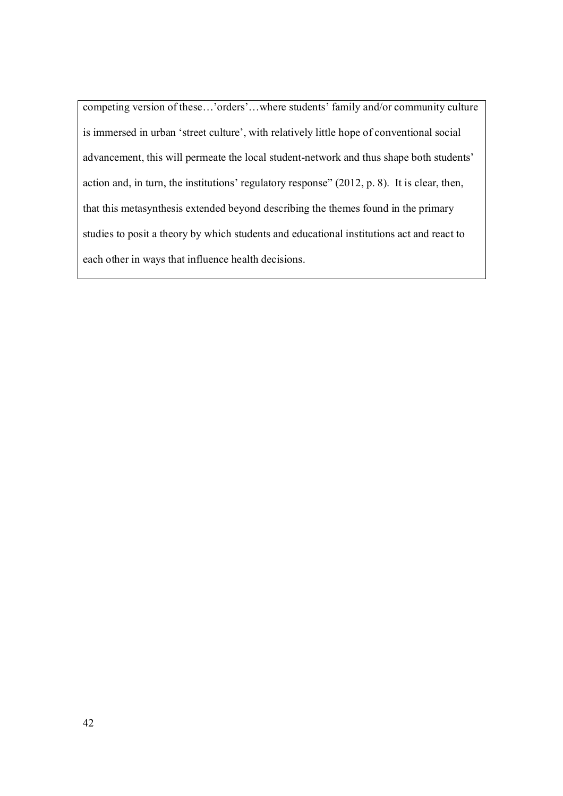competing version of these…'orders'…where students' family and/or community culture is immersed in urban 'street culture', with relatively little hope of conventional social advancement, this will permeate the local student-network and thus shape both students' action and, in turn, the institutions' regulatory response" (2012, p. 8). It is clear, then, that this metasynthesis extended beyond describing the themes found in the primary studies to posit a theory by which students and educational institutions act and react to each other in ways that influence health decisions.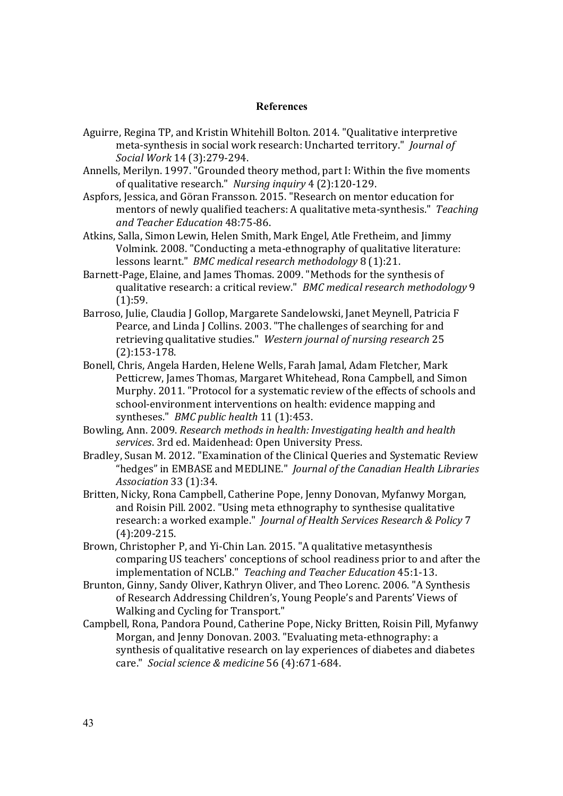# **References**

- Aguirre, Regina TP, and Kristin Whitehill Bolton. 2014. "Qualitative interpretive meta-synthesis in social work research: Uncharted territory." *Journal of Social Work* 14 (3):279-294.
- Annells, Merilyn. 1997. "Grounded theory method, part I: Within the five moments of qualitative research." *Nursing inquiry* 4 (2):120-129.
- Aspfors, Jessica, and Göran Fransson. 2015. "Research on mentor education for mentors of newly qualified teachers: A qualitative meta-synthesis." *Teaching and Teacher Education* 48:75-86.
- Atkins, Salla, Simon Lewin, Helen Smith, Mark Engel, Atle Fretheim, and Jimmy Volmink. 2008. "Conducting a meta-ethnography of qualitative literature: lessons learnt." *BMC medical research methodology* 8 (1):21.
- Barnett-Page, Elaine, and James Thomas. 2009. "Methods for the synthesis of qualitative research: a critical review." *BMC medical research methodology* 9 (1):59.
- Barroso, Julie, Claudia J Gollop, Margarete Sandelowski, Janet Meynell, Patricia F Pearce, and Linda J Collins. 2003. "The challenges of searching for and retrieving qualitative studies." *Western journal of nursing research* 25 (2):153-178.
- Bonell, Chris, Angela Harden, Helene Wells, Farah Jamal, Adam Fletcher, Mark Petticrew, James Thomas, Margaret Whitehead, Rona Campbell, and Simon Murphy. 2011. "Protocol for a systematic review of the effects of schools and school-environment interventions on health: evidence mapping and syntheses." *BMC public health* 11 (1):453.
- Bowling, Ann. 2009. *Research methods in health: Investigating health and health services*. 3rd ed. Maidenhead: Open University Press.
- Bradley, Susan M. 2012. "Examination of the Clinical Queries and Systematic Review "hedges" in EMBASE and MEDLINE." *Journal of the Canadian Health Libraries Association* 33 (1):34.
- Britten, Nicky, Rona Campbell, Catherine Pope, Jenny Donovan, Myfanwy Morgan, and Roisin Pill. 2002. "Using meta ethnography to synthesise qualitative research: a worked example." *Journal of Health Services Research & Policy* 7 (4):209-215.
- Brown, Christopher P, and Yi-Chin Lan. 2015. "A qualitative metasynthesis comparing US teachers' conceptions of school readiness prior to and after the implementation of NCLB." *Teaching and Teacher Education* 45:1-13.
- Brunton, Ginny, Sandy Oliver, Kathryn Oliver, and Theo Lorenc. 2006. "A Synthesis of Research Addressing Children's, Young People's and Parents' Views of Walking and Cycling for Transport."
- Campbell, Rona, Pandora Pound, Catherine Pope, Nicky Britten, Roisin Pill, Myfanwy Morgan, and Jenny Donovan. 2003. "Evaluating meta-ethnography: a synthesis of qualitative research on lay experiences of diabetes and diabetes care." *Social science & medicine* 56 (4):671-684.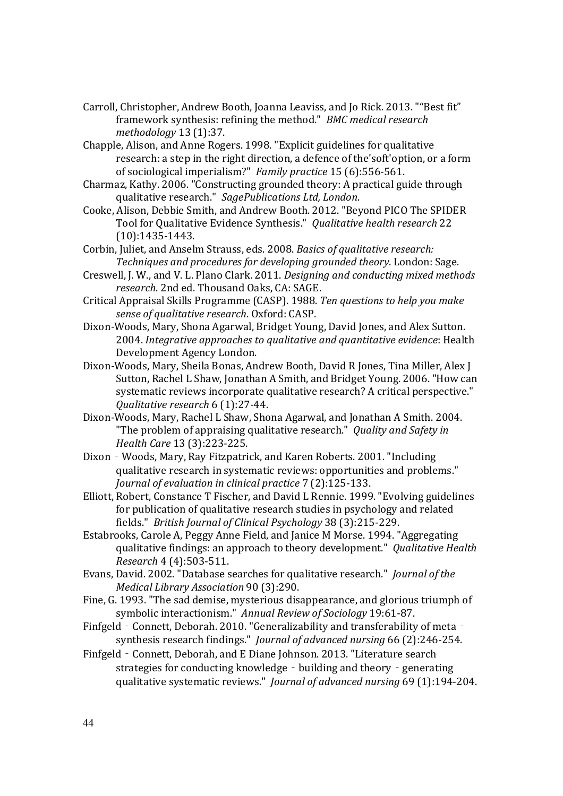- Carroll, Christopher, Andrew Booth, Joanna Leaviss, and Jo Rick. 2013. ""Best fit" framework synthesis: refining the method." *BMC medical research methodology* 13 (1):37.
- Chapple, Alison, and Anne Rogers. 1998. "Explicit guidelines for qualitative research: a step in the right direction, a defence of the'soft'option, or a form of sociological imperialism?" *Family practice* 15 (6):556-561.
- Charmaz, Kathy. 2006. "Constructing grounded theory: A practical guide through qualitative research." *SagePublications Ltd, London*.
- Cooke, Alison, Debbie Smith, and Andrew Booth. 2012. "Beyond PICO The SPIDER Tool for Qualitative Evidence Synthesis." *Qualitative health research* 22 (10):1435-1443.
- Corbin, Juliet, and Anselm Strauss, eds. 2008. *Basics of qualitative research: Techniques and procedures for developing grounded theory*. London: Sage.
- Creswell, J. W., and V. L. Plano Clark. 2011. *Designing and conducting mixed methods research*. 2nd ed. Thousand Oaks, CA: SAGE.
- Critical Appraisal Skills Programme (CASP). 1988. *Ten questions to help you make sense of qualitative research*. Oxford: CASP.
- Dixon-Woods, Mary, Shona Agarwal, Bridget Young, David Jones, and Alex Sutton. 2004. *Integrative approaches to qualitative and quantitative evidence*: Health Development Agency London.
- Dixon-Woods, Mary, Sheila Bonas, Andrew Booth, David R Jones, Tina Miller, Alex J Sutton, Rachel L Shaw, Jonathan A Smith, and Bridget Young. 2006. "How can systematic reviews incorporate qualitative research? A critical perspective." *Qualitative research* 6 (1):27-44.
- Dixon-Woods, Mary, Rachel L Shaw, Shona Agarwal, and Jonathan A Smith. 2004. "The problem of appraising qualitative research." *Quality and Safety in Health Care* 13 (3):223-225.
- Dixon Woods, Mary, Ray Fitzpatrick, and Karen Roberts. 2001. "Including qualitative research in systematic reviews: opportunities and problems." *Journal of evaluation in clinical practice* 7 (2):125-133.
- Elliott, Robert, Constance T Fischer, and David L Rennie. 1999. "Evolving guidelines for publication of qualitative research studies in psychology and related fields." *British Journal of Clinical Psychology* 38 (3):215-229.
- Estabrooks, Carole A, Peggy Anne Field, and Janice M Morse. 1994. "Aggregating qualitative findings: an approach to theory development." *Qualitative Health Research* 4 (4):503-511.
- Evans, David. 2002. "Database searches for qualitative research." *Journal of the Medical Library Association* 90 (3):290.
- Fine, G. 1993. "The sad demise, mysterious disappearance, and glorious triumph of symbolic interactionism." *Annual Review of Sociology* 19:61-87.
- Finfgeld Connett, Deborah. 2010. "Generalizability and transferability of meta synthesis research findings." *Journal of advanced nursing* 66 (2):246-254.
- Finfgeld Connett, Deborah, and E Diane Johnson. 2013. "Literature search strategies for conducting knowledge - building and theory - generating qualitative systematic reviews." *Journal of advanced nursing* 69 (1):194-204.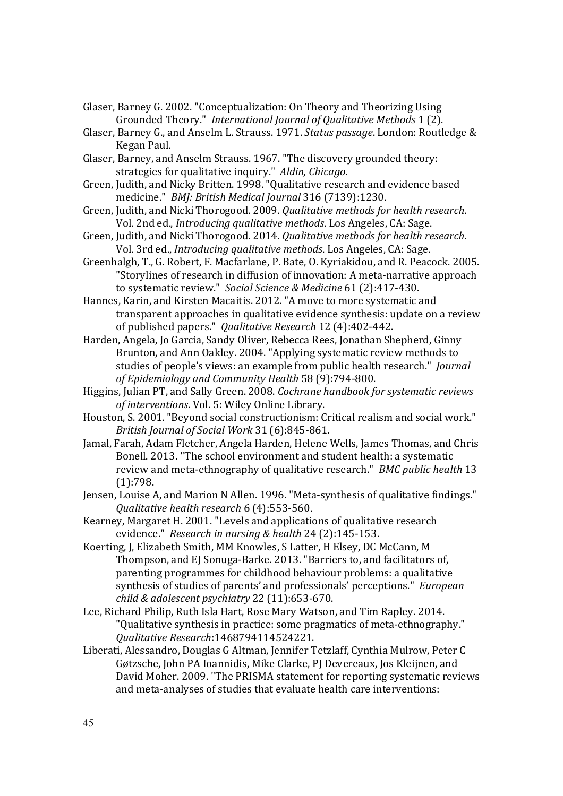- Glaser, Barney G. 2002. "Conceptualization: On Theory and Theorizing Using Grounded Theory." *International Journal of Qualitative Methods* 1 (2).
- Glaser, Barney G., and Anselm L. Strauss. 1971. *Status passage*. London: Routledge & Kegan Paul.
- Glaser, Barney, and Anselm Strauss. 1967. "The discovery grounded theory: strategies for qualitative inquiry." *Aldin, Chicago*.
- Green, Judith, and Nicky Britten. 1998. "Qualitative research and evidence based medicine." *BMJ: British Medical Journal* 316 (7139):1230.
- Green, Judith, and Nicki Thorogood. 2009. *Qualitative methods for health research*. Vol. 2nd ed., *Introducing qualitative methods*. Los Angeles, CA: Sage.
- Green, Judith, and Nicki Thorogood. 2014. *Qualitative methods for health research*. Vol. 3rd ed., *Introducing qualitative methods*. Los Angeles, CA: Sage.
- Greenhalgh, T., G. Robert, F. Macfarlane, P. Bate, O. Kyriakidou, and R. Peacock. 2005. "Storylines of research in diffusion of innovation: A meta-narrative approach to systematic review." *Social Science & Medicine* 61 (2):417-430.

Hannes, Karin, and Kirsten Macaitis. 2012. "A move to more systematic and transparent approaches in qualitative evidence synthesis: update on a review of published papers." *Qualitative Research* 12 (4):402-442.

Harden, Angela, Jo Garcia, Sandy Oliver, Rebecca Rees, Jonathan Shepherd, Ginny Brunton, and Ann Oakley. 2004. "Applying systematic review methods to studies of people's views: an example from public health research." *Journal of Epidemiology and Community Health* 58 (9):794-800.

Higgins, Julian PT, and Sally Green. 2008. *Cochrane handbook for systematic reviews of interventions*. Vol. 5: Wiley Online Library.

Houston, S. 2001. "Beyond social constructionism: Critical realism and social work." *British Journal of Social Work* 31 (6):845-861.

Jamal, Farah, Adam Fletcher, Angela Harden, Helene Wells, James Thomas, and Chris Bonell. 2013. "The school environment and student health: a systematic review and meta-ethnography of qualitative research." *BMC public health* 13 (1):798.

Jensen, Louise A, and Marion N Allen. 1996. "Meta-synthesis of qualitative findings." *Qualitative health research* 6 (4):553-560.

Kearney, Margaret H. 2001. "Levels and applications of qualitative research evidence." *Research in nursing & health* 24 (2):145-153.

Koerting, J, Elizabeth Smith, MM Knowles, S Latter, H Elsey, DC McCann, M Thompson, and EJ Sonuga-Barke. 2013. "Barriers to, and facilitators of, parenting programmes for childhood behaviour problems: a qualitative synthesis of studies of parents' and professionals' perceptions." *European child & adolescent psychiatry* 22 (11):653-670.

Lee, Richard Philip, Ruth Isla Hart, Rose Mary Watson, and Tim Rapley. 2014. "Qualitative synthesis in practice: some pragmatics of meta-ethnography." *Qualitative Research*:1468794114524221.

Liberati, Alessandro, Douglas G Altman, Jennifer Tetzlaff, Cynthia Mulrow, Peter C Gøtzsche, John PA Ioannidis, Mike Clarke, PJ Devereaux, Jos Kleijnen, and David Moher. 2009. "The PRISMA statement for reporting systematic reviews and meta-analyses of studies that evaluate health care interventions: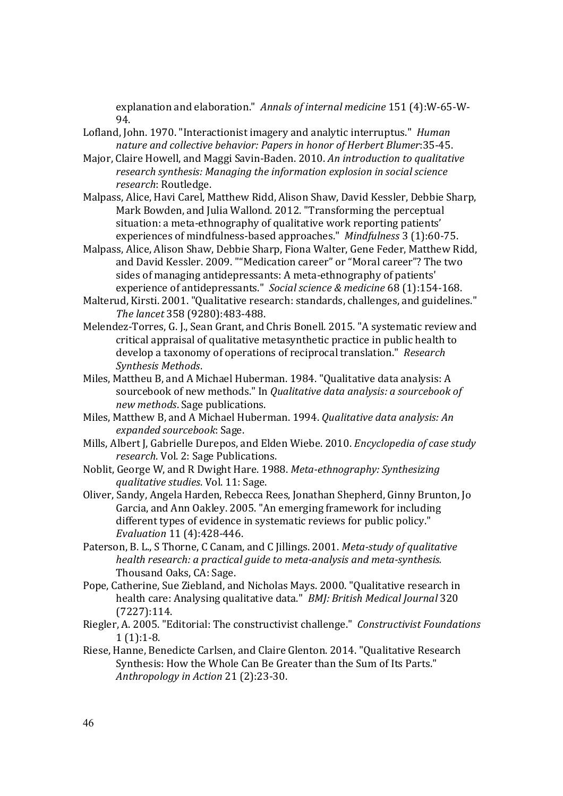explanation and elaboration." *Annals of internal medicine* 151 (4):W-65-W-94.

- Lofland, John. 1970. "Interactionist imagery and analytic interruptus." *Human nature and collective behavior: Papers in honor of Herbert Blumer*:35-45.
- Major, Claire Howell, and Maggi Savin-Baden. 2010. *An introduction to qualitative research synthesis: Managing the information explosion in social science research*: Routledge.
- Malpass, Alice, Havi Carel, Matthew Ridd, Alison Shaw, David Kessler, Debbie Sharp, Mark Bowden, and Julia Wallond. 2012. "Transforming the perceptual situation: a meta-ethnography of qualitative work reporting patients' experiences of mindfulness-based approaches." *Mindfulness* 3 (1):60-75.
- Malpass, Alice, Alison Shaw, Debbie Sharp, Fiona Walter, Gene Feder, Matthew Ridd, and David Kessler. 2009. ""Medication career" or "Moral career"? The two sides of managing antidepressants: A meta-ethnography of patients' experience of antidepressants." *Social science & medicine* 68 (1):154-168.
- Malterud, Kirsti. 2001. "Qualitative research: standards, challenges, and guidelines." *The lancet* 358 (9280):483-488.
- Melendez-Torres, G. J., Sean Grant, and Chris Bonell. 2015. "A systematic review and critical appraisal of qualitative metasynthetic practice in public health to develop a taxonomy of operations of reciprocal translation." *Research Synthesis Methods*.
- Miles, Mattheu B, and A Michael Huberman. 1984. "Qualitative data analysis: A sourcebook of new methods." In *Qualitative data analysis: a sourcebook of new methods*. Sage publications.
- Miles, Matthew B, and A Michael Huberman. 1994. *Qualitative data analysis: An expanded sourcebook*: Sage.
- Mills, Albert J, Gabrielle Durepos, and Elden Wiebe. 2010. *Encyclopedia of case study research*. Vol. 2: Sage Publications.
- Noblit, George W, and R Dwight Hare. 1988. *Meta-ethnography: Synthesizing qualitative studies*. Vol. 11: Sage.
- Oliver, Sandy, Angela Harden, Rebecca Rees, Jonathan Shepherd, Ginny Brunton, Jo Garcia, and Ann Oakley. 2005. "An emerging framework for including different types of evidence in systematic reviews for public policy." *Evaluation* 11 (4):428-446.
- Paterson, B. L., S Thorne, C Canam, and C Jillings. 2001. *Meta-study of qualitative health research: a practical guide to meta-analysis and meta-synthesis.* Thousand Oaks, CA: Sage.
- Pope, Catherine, Sue Ziebland, and Nicholas Mays. 2000. "Qualitative research in health care: Analysing qualitative data." *BMJ: British Medical Journal* 320 (7227):114.
- Riegler, A. 2005. "Editorial: The constructivist challenge." *Constructivist Foundations*  $1(1):1-8.$
- Riese, Hanne, Benedicte Carlsen, and Claire Glenton. 2014. "Qualitative Research Synthesis: How the Whole Can Be Greater than the Sum of Its Parts." *Anthropology in Action* 21 (2):23-30.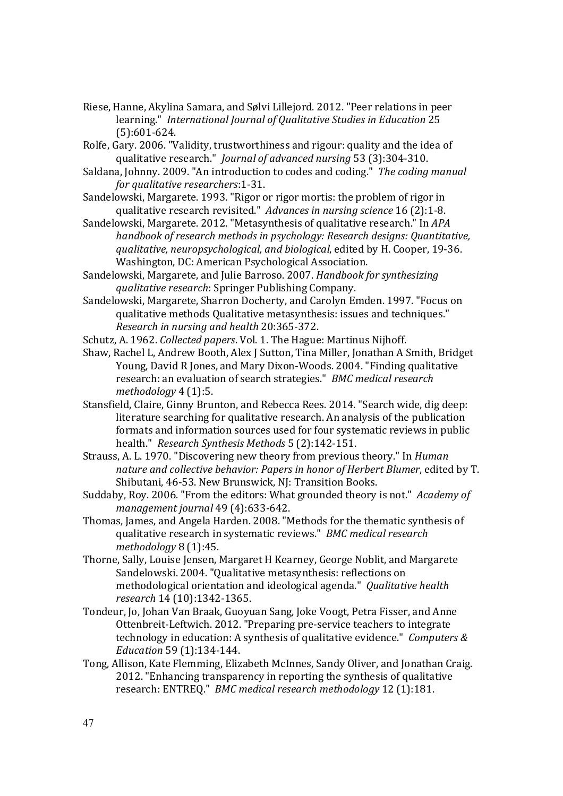- Riese, Hanne, Akylina Samara, and Sølvi Lillejord. 2012. "Peer relations in peer learning." *International Journal of Qualitative Studies in Education* 25 (5):601-624.
- Rolfe, Gary. 2006. "Validity, trustworthiness and rigour: quality and the idea of qualitative research." *Journal of advanced nursing* 53 (3):304-310.
- Saldana, Johnny. 2009. "An introduction to codes and coding." *The coding manual for qualitative researchers*:1-31.
- Sandelowski, Margarete. 1993. "Rigor or rigor mortis: the problem of rigor in qualitative research revisited." *Advances in nursing science* 16 (2):1-8.
- Sandelowski, Margarete. 2012. "Metasynthesis of qualitative research." In *APA handbook of research methods in psychology: Research designs: Quantitative, qualitative, neuropsychological, and biological*, edited by H. Cooper, 19-36. Washington, DC: American Psychological Association.
- Sandelowski, Margarete, and Julie Barroso. 2007. *Handbook for synthesizing qualitative research*: Springer Publishing Company.
- Sandelowski, Margarete, Sharron Docherty, and Carolyn Emden. 1997. "Focus on qualitative methods Qualitative metasynthesis: issues and techniques." *Research in nursing and health* 20:365-372.

Schutz, A. 1962. *Collected papers*. Vol. 1. The Hague: Martinus Nijhoff.

- Shaw, Rachel L, Andrew Booth, Alex J Sutton, Tina Miller, Jonathan A Smith, Bridget Young, David R Jones, and Mary Dixon-Woods. 2004. "Finding qualitative research: an evaluation of search strategies." *BMC medical research methodology* 4 (1):5.
- Stansfield, Claire, Ginny Brunton, and Rebecca Rees. 2014. "Search wide, dig deep: literature searching for qualitative research. An analysis of the publication formats and information sources used for four systematic reviews in public health." *Research Synthesis Methods* 5 (2):142-151.
- Strauss, A. L. 1970. "Discovering new theory from previous theory." In *Human nature and collective behavior: Papers in honor of Herbert Blumer*, edited by T. Shibutani, 46-53. New Brunswick, NJ: Transition Books.
- Suddaby, Roy. 2006. "From the editors: What grounded theory is not." *Academy of management journal* 49 (4):633-642.
- Thomas, James, and Angela Harden. 2008. "Methods for the thematic synthesis of qualitative research in systematic reviews." *BMC medical research methodology* 8 (1):45.
- Thorne, Sally, Louise Jensen, Margaret H Kearney, George Noblit, and Margarete Sandelowski. 2004. "Qualitative metasynthesis: reflections on methodological orientation and ideological agenda." *Qualitative health research* 14 (10):1342-1365.
- Tondeur, Jo, Johan Van Braak, Guoyuan Sang, Joke Voogt, Petra Fisser, and Anne Ottenbreit-Leftwich. 2012. "Preparing pre-service teachers to integrate technology in education: A synthesis of qualitative evidence." *Computers & Education* 59 (1):134-144.
- Tong, Allison, Kate Flemming, Elizabeth McInnes, Sandy Oliver, and Jonathan Craig. 2012. "Enhancing transparency in reporting the synthesis of qualitative research: ENTREQ." *BMC medical research methodology* 12 (1):181.